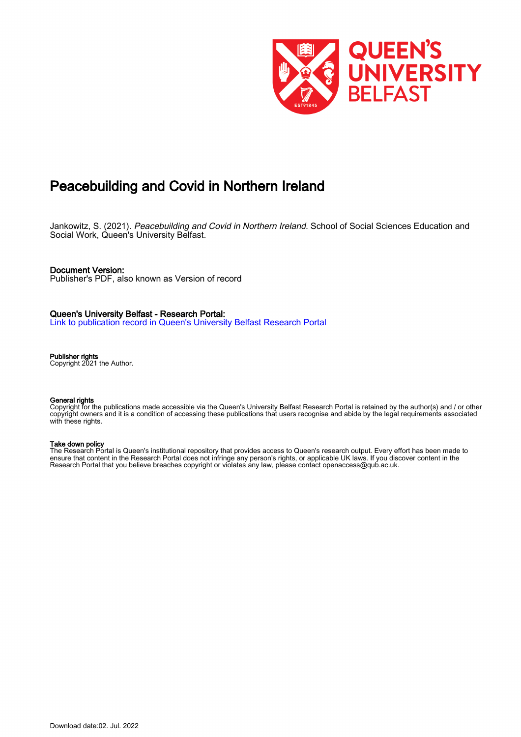

# Peacebuilding and Covid in Northern Ireland

Jankowitz, S. (2021). Peacebuilding and Covid in Northern Ireland. School of Social Sciences Education and Social Work, Queen's University Belfast.

#### Document Version:

Publisher's PDF, also known as Version of record

#### Queen's University Belfast - Research Portal:

[Link to publication record in Queen's University Belfast Research Portal](https://pure.qub.ac.uk/en/publications/8fd1fc80-8ea0-4aa4-9d8a-a263a56cd129)

#### Publisher rights

Copyright 2021 the Author.

#### General rights

Copyright for the publications made accessible via the Queen's University Belfast Research Portal is retained by the author(s) and / or other copyright owners and it is a condition of accessing these publications that users recognise and abide by the legal requirements associated with these rights.

#### Take down policy

The Research Portal is Queen's institutional repository that provides access to Queen's research output. Every effort has been made to ensure that content in the Research Portal does not infringe any person's rights, or applicable UK laws. If you discover content in the Research Portal that you believe breaches copyright or violates any law, please contact openaccess@qub.ac.uk.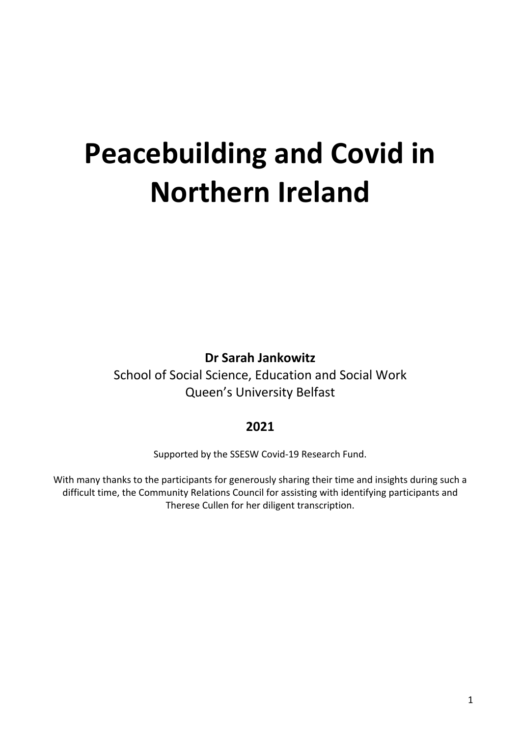# **Peacebuilding and Covid in Northern Ireland**

**Dr Sarah Jankowitz**

School of Social Science, Education and Social Work Queen's University Belfast

# **2021**

Supported by the SSESW Covid-19 Research Fund.

With many thanks to the participants for generously sharing their time and insights during such a difficult time, the Community Relations Council for assisting with identifying participants and Therese Cullen for her diligent transcription.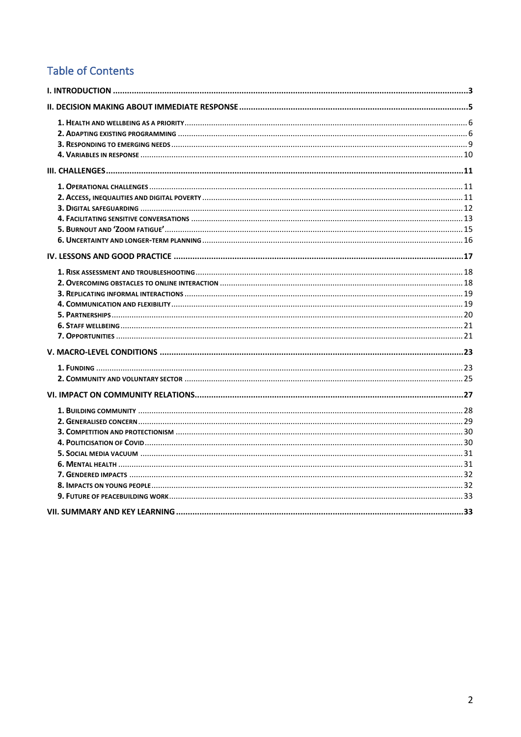# **Table of Contents**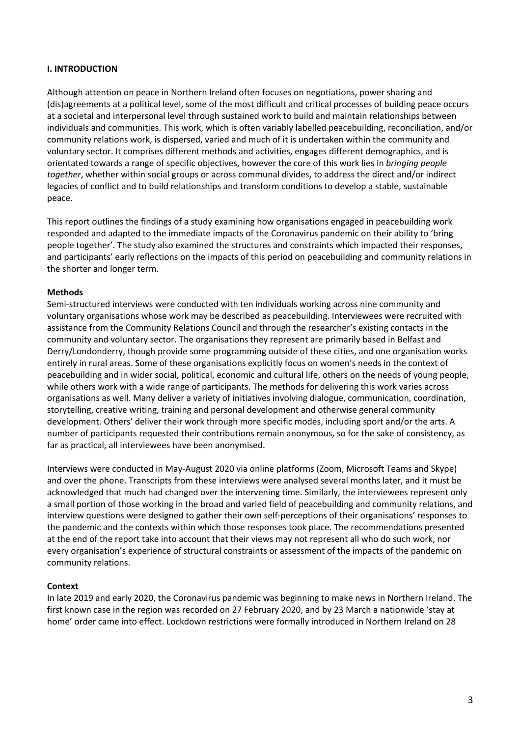#### **I. INTRODUCTION**

Although attention on peace in Northern Ireland often focuses on negotiations, power sharing and (dis)agreements at a political level, some of the most difficult and critical processes of building peace occurs at a societal and interpersonal level through sustained work to build and maintain relationships between individuals and communities. This work, which is often variably labelled peacebuilding, reconciliation, and/or community relations work, is dispersed, varied and much of it is undertaken within the community and voluntary sector. It comprises different methods and activities, engages different demographics, and is orientated towards a range of specific objectives, however the core of this work lies in *bringing people together*, whether within social groups or across communal divides, to address the direct and/or indirect legacies of conflict and to build relationships and transform conditions to develop a stable, sustainable peace.

This report outlines the findings of a study examining how organisations engaged in peacebuilding work responded and adapted to the immediate impacts of the Coronavirus pandemic on their ability to 'bring people together'. The study also examined the structures and constraints which impacted their responses, and participants' early reflections on the impacts of this period on peacebuilding and community relations in the shorter and longer term.

#### **Methods**

Semi-structured interviews were conducted with ten individuals working across nine community and voluntary organisations whose work may be described as peacebuilding. Interviewees were recruited with assistance from the Community Relations Council and through the researcher's existing contacts in the community and voluntary sector. The organisations they represent are primarily based in Belfast and Derry/Londonderry, though provide some programming outside of these cities, and one organisation works entirely in rural areas. Some of these organisations explicitly focus on women's needs in the context of peacebuilding and in wider social, political, economic and cultural life, others on the needs of young people, while others work with a wide range of participants. The methods for delivering this work varies across organisations as well. Many deliver a variety of initiatives involving dialogue, communication, coordination, storytelling, creative writing, training and personal development and otherwise general community development. Others' deliver their work through more specific modes, including sport and/or the arts. A number of participants requested their contributions remain anonymous, so for the sake of consistency, as far as practical, all interviewees have been anonymised.

Interviews were conducted in May-August 2020 via online platforms (Zoom, Microsoft Teams and Skype) and over the phone. Transcripts from these interviews were analysed several months later, and it must be acknowledged that much had changed over the intervening time. Similarly, the interviewees represent only a small portion of those working in the broad and varied field of peacebuilding and community relations, and interview questions were designed to gather their own self-perceptions of their organisations' responses to the pandemic and the contexts within which those responses took place. The recommendations presented at the end of the report take into account that their views may not represent all who do such work, nor every organisation's experience of structural constraints or assessment of the impacts of the pandemic on community relations.

#### **Context**

In late 2019 and early 2020, the Coronavirus pandemic was beginning to make news in Northern Ireland. The first known case in the region was recorded on 27 February 2020, and by 23 March a nationwide 'stay at home' order came into effect. Lockdown restrictions were formally introduced in Northern Ireland on 28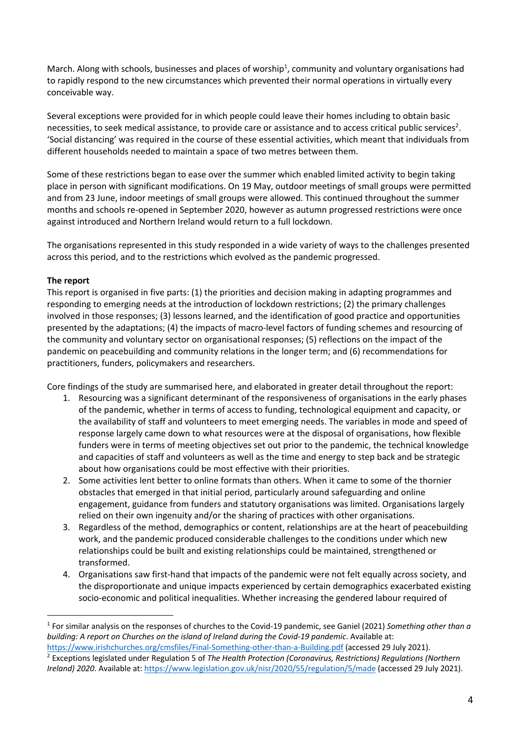March. Along with schools, businesses and places of worship<sup>1</sup>, community and voluntary organisations had to rapidly respond to the new circumstances which prevented their normal operations in virtually every conceivable way.

Several exceptions were provided for in which people could leave their homes including to obtain basic necessities, to seek medical assistance, to provide care or assistance and to access critical public services<sup>2</sup>. 'Social distancing' was required in the course of these essential activities, which meant that individuals from different households needed to maintain a space of two metres between them.

Some of these restrictions began to ease over the summer which enabled limited activity to begin taking place in person with significant modifications. On 19 May, outdoor meetings of small groups were permitted and from 23 June, indoor meetings of small groups were allowed. This continued throughout the summer months and schools re-opened in September 2020, however as autumn progressed restrictions were once against introduced and Northern Ireland would return to a full lockdown.

The organisations represented in this study responded in a wide variety of ways to the challenges presented across this period, and to the restrictions which evolved as the pandemic progressed.

### **The report**

This report is organised in five parts: (1) the priorities and decision making in adapting programmes and responding to emerging needs at the introduction of lockdown restrictions; (2) the primary challenges involved in those responses; (3) lessons learned, and the identification of good practice and opportunities presented by the adaptations; (4) the impacts of macro-level factors of funding schemes and resourcing of the community and voluntary sector on organisational responses; (5) reflections on the impact of the pandemic on peacebuilding and community relations in the longer term; and (6) recommendations for practitioners, funders, policymakers and researchers.

Core findings of the study are summarised here, and elaborated in greater detail throughout the report:

- 1. Resourcing was a significant determinant of the responsiveness of organisations in the early phases of the pandemic, whether in terms of access to funding, technological equipment and capacity, or the availability of staff and volunteers to meet emerging needs. The variables in mode and speed of response largely came down to what resources were at the disposal of organisations, how flexible funders were in terms of meeting objectives set out prior to the pandemic, the technical knowledge and capacities of staff and volunteers as well as the time and energy to step back and be strategic about how organisations could be most effective with their priorities.
- 2. Some activities lent better to online formats than others. When it came to some of the thornier obstacles that emerged in that initial period, particularly around safeguarding and online engagement, guidance from funders and statutory organisations was limited. Organisations largely relied on their own ingenuity and/or the sharing of practices with other organisations.
- 3. Regardless of the method, demographics or content, relationships are at the heart of peacebuilding work, and the pandemic produced considerable challenges to the conditions under which new relationships could be built and existing relationships could be maintained, strengthened or transformed.
- 4. Organisations saw first-hand that impacts of the pandemic were not felt equally across society, and the disproportionate and unique impacts experienced by certain demographics exacerbated existing socio-economic and political inequalities. Whether increasing the gendered labour required of

<sup>1</sup> For similar analysis on the responses of churches to the Covid-19 pandemic, see Ganiel (2021) *Something other than a building: A report on Churches on the island of Ireland during the Covid-19 pandemic*. Available at: https://www.irishchurches.org/cmsfiles/Final-Something-other-than-a-Building.pdf (accessed 29 July 2021).

<sup>2</sup> Exceptions legislated under Regulation 5 of *The Health Protection (Coronavirus, Restrictions) Regulations (Northern Ireland) 2020*. Available at: https://www.legislation.gov.uk/nisr/2020/55/regulation/5/made (accessed 29 July 2021).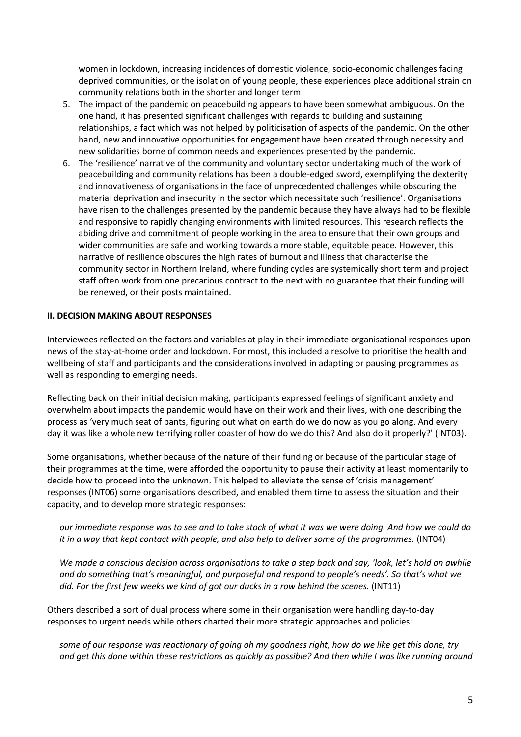women in lockdown, increasing incidences of domestic violence, socio-economic challenges facing deprived communities, or the isolation of young people, these experiences place additional strain on community relations both in the shorter and longer term.

- 5. The impact of the pandemic on peacebuilding appears to have been somewhat ambiguous. On the one hand, it has presented significant challenges with regards to building and sustaining relationships, a fact which was not helped by politicisation of aspects of the pandemic. On the other hand, new and innovative opportunities for engagement have been created through necessity and new solidarities borne of common needs and experiences presented by the pandemic.
- 6. The 'resilience' narrative of the community and voluntary sector undertaking much of the work of peacebuilding and community relations has been a double-edged sword, exemplifying the dexterity and innovativeness of organisations in the face of unprecedented challenges while obscuring the material deprivation and insecurity in the sector which necessitate such 'resilience'. Organisations have risen to the challenges presented by the pandemic because they have always had to be flexible and responsive to rapidly changing environments with limited resources. This research reflects the abiding drive and commitment of people working in the area to ensure that their own groups and wider communities are safe and working towards a more stable, equitable peace. However, this narrative of resilience obscures the high rates of burnout and illness that characterise the community sector in Northern Ireland, where funding cycles are systemically short term and project staff often work from one precarious contract to the next with no guarantee that their funding will be renewed, or their posts maintained.

#### **II. DECISION MAKING ABOUT RESPONSES**

Interviewees reflected on the factors and variables at play in their immediate organisational responses upon news of the stay-at-home order and lockdown. For most, this included a resolve to prioritise the health and wellbeing of staff and participants and the considerations involved in adapting or pausing programmes as well as responding to emerging needs.

Reflecting back on their initial decision making, participants expressed feelings of significant anxiety and overwhelm about impacts the pandemic would have on their work and their lives, with one describing the process as 'very much seat of pants, figuring out what on earth do we do now as you go along. And every day it was like a whole new terrifying roller coaster of how do we do this? And also do it properly?' (INT03).

Some organisations, whether because of the nature of their funding or because of the particular stage of their programmes at the time, were afforded the opportunity to pause their activity at least momentarily to decide how to proceed into the unknown. This helped to alleviate the sense of 'crisis management' responses (INT06) some organisations described, and enabled them time to assess the situation and their capacity, and to develop more strategic responses:

*our immediate response was to see and to take stock of what it was we were doing. And how we could do it in a way that kept contact with people, and also help to deliver some of the programmes.* (INT04)

*We made a conscious decision across organisations to take a step back and say, 'look, let's hold on awhile and do something that's meaningful, and purposeful and respond to people's needs'. So that's what we did. For the first few weeks we kind of got our ducks in a row behind the scenes.* (INT11)

Others described a sort of dual process where some in their organisation were handling day-to-day responses to urgent needs while others charted their more strategic approaches and policies:

*some of our response was reactionary of going oh my goodness right, how do we like get this done, try and get this done within these restrictions as quickly as possible? And then while I was like running around*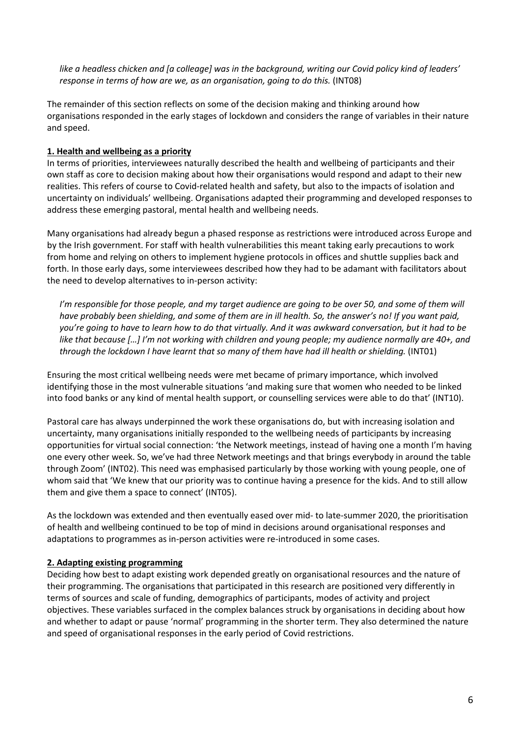*like a headless chicken and [a colleage] was in the background, writing our Covid policy kind of leaders' response in terms of how are we, as an organisation, going to do this.* (INT08)

The remainder of this section reflects on some of the decision making and thinking around how organisations responded in the early stages of lockdown and considers the range of variables in their nature and speed.

# **1. Health and wellbeing as a priority**

In terms of priorities, interviewees naturally described the health and wellbeing of participants and their own staff as core to decision making about how their organisations would respond and adapt to their new realities. This refers of course to Covid-related health and safety, but also to the impacts of isolation and uncertainty on individuals' wellbeing. Organisations adapted their programming and developed responses to address these emerging pastoral, mental health and wellbeing needs.

Many organisations had already begun a phased response as restrictions were introduced across Europe and by the Irish government. For staff with health vulnerabilities this meant taking early precautions to work from home and relying on others to implement hygiene protocols in offices and shuttle supplies back and forth. In those early days, some interviewees described how they had to be adamant with facilitators about the need to develop alternatives to in-person activity:

*I'm responsible for those people, and my target audience are going to be over 50, and some of them will have probably been shielding, and some of them are in ill health. So, the answer's no! If you want paid, you're going to have to learn how to do that virtually. And it was awkward conversation, but it had to be like that because […] I'm not working with children and young people; my audience normally are 40+, and through the lockdown I have learnt that so many of them have had ill health or shielding.* (INT01)

Ensuring the most critical wellbeing needs were met became of primary importance, which involved identifying those in the most vulnerable situations 'and making sure that women who needed to be linked into food banks or any kind of mental health support, or counselling services were able to do that' (INT10).

Pastoral care has always underpinned the work these organisations do, but with increasing isolation and uncertainty, many organisations initially responded to the wellbeing needs of participants by increasing opportunities for virtual social connection: 'the Network meetings, instead of having one a month I'm having one every other week. So, we've had three Network meetings and that brings everybody in around the table through Zoom' (INT02). This need was emphasised particularly by those working with young people, one of whom said that 'We knew that our priority was to continue having a presence for the kids. And to still allow them and give them a space to connect' (INT05).

As the lockdown was extended and then eventually eased over mid- to late-summer 2020, the prioritisation of health and wellbeing continued to be top of mind in decisions around organisational responses and adaptations to programmes as in-person activities were re-introduced in some cases.

### **2. Adapting existing programming**

Deciding how best to adapt existing work depended greatly on organisational resources and the nature of their programming. The organisations that participated in this research are positioned very differently in terms of sources and scale of funding, demographics of participants, modes of activity and project objectives. These variables surfaced in the complex balances struck by organisations in deciding about how and whether to adapt or pause 'normal' programming in the shorter term. They also determined the nature and speed of organisational responses in the early period of Covid restrictions.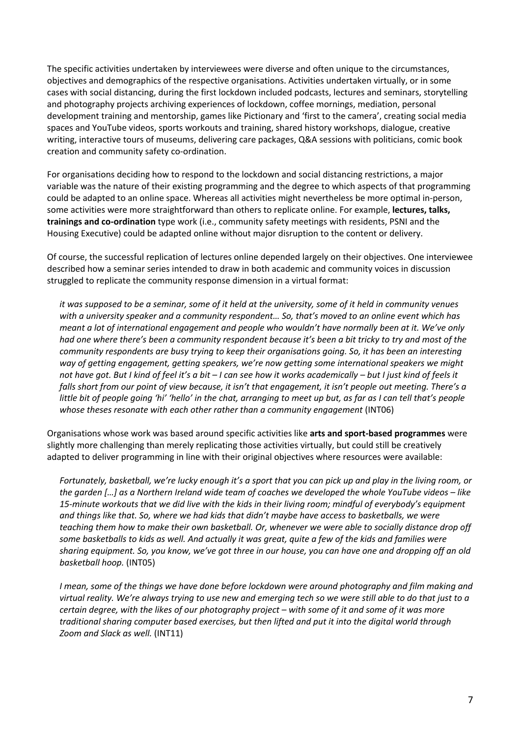The specific activities undertaken by interviewees were diverse and often unique to the circumstances, objectives and demographics of the respective organisations. Activities undertaken virtually, or in some cases with social distancing, during the first lockdown included podcasts, lectures and seminars, storytelling and photography projects archiving experiences of lockdown, coffee mornings, mediation, personal development training and mentorship, games like Pictionary and 'first to the camera', creating social media spaces and YouTube videos, sports workouts and training, shared history workshops, dialogue, creative writing, interactive tours of museums, delivering care packages, Q&A sessions with politicians, comic book creation and community safety co-ordination.

For organisations deciding how to respond to the lockdown and social distancing restrictions, a major variable was the nature of their existing programming and the degree to which aspects of that programming could be adapted to an online space. Whereas all activities might nevertheless be more optimal in-person, some activities were more straightforward than others to replicate online. For example, **lectures, talks, trainings and co-ordination** type work (i.e., community safety meetings with residents, PSNI and the Housing Executive) could be adapted online without major disruption to the content or delivery.

Of course, the successful replication of lectures online depended largely on their objectives. One interviewee described how a seminar series intended to draw in both academic and community voices in discussion struggled to replicate the community response dimension in a virtual format:

*it was supposed to be a seminar, some of it held at the university, some of it held in community venues with a university speaker and a community respondent… So, that's moved to an online event which has meant a lot of international engagement and people who wouldn't have normally been at it. We've only had one where there's been a community respondent because it's been a bit tricky to try and most of the community respondents are busy trying to keep their organisations going. So, it has been an interesting way of getting engagement, getting speakers, we're now getting some international speakers we might not have got. But I kind of feel it's a bit – I can see how it works academically – but I just kind of feels it falls short from our point of view because, it isn't that engagement, it isn't people out meeting. There's a little bit of people going 'hi' 'hello' in the chat, arranging to meet up but, as far as I can tell that's people whose theses resonate with each other rather than a community engagement* (INT06)

Organisations whose work was based around specific activities like **arts and sport-based programmes** were slightly more challenging than merely replicating those activities virtually, but could still be creatively adapted to deliver programming in line with their original objectives where resources were available:

*Fortunately, basketball, we're lucky enough it's a sport that you can pick up and play in the living room, or the garden […] as a Northern Ireland wide team of coaches we developed the whole YouTube videos – like 15-minute workouts that we did live with the kids in their living room; mindful of everybody's equipment and things like that. So, where we had kids that didn't maybe have access to basketballs, we were teaching them how to make their own basketball. Or, whenever we were able to socially distance drop off some basketballs to kids as well. And actually it was great, quite a few of the kids and families were sharing equipment. So, you know, we've got three in our house, you can have one and dropping off an old basketball hoop.* (INT05)

*I* mean, some of the things we have done before lockdown were around photography and film making and *virtual reality. We're always trying to use new and emerging tech so we were still able to do that just to a certain degree, with the likes of our photography project – with some of it and some of it was more traditional sharing computer based exercises, but then lifted and put it into the digital world through Zoom and Slack as well.* (INT11)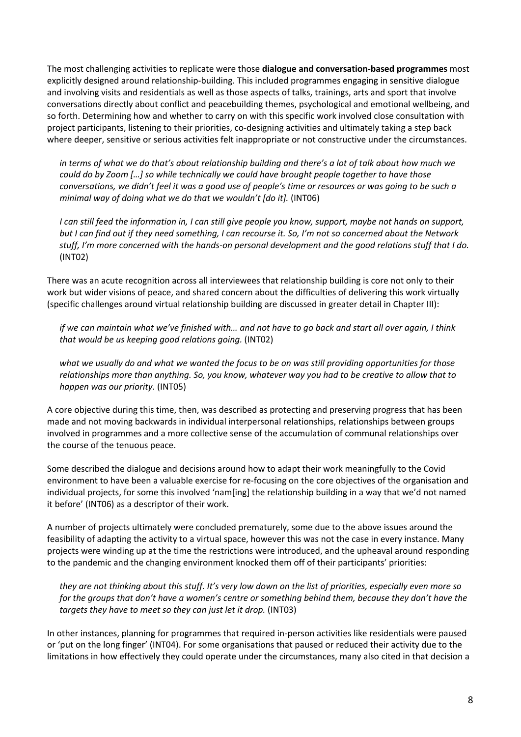The most challenging activities to replicate were those **dialogue and conversation-based programmes** most explicitly designed around relationship-building. This included programmes engaging in sensitive dialogue and involving visits and residentials as well as those aspects of talks, trainings, arts and sport that involve conversations directly about conflict and peacebuilding themes, psychological and emotional wellbeing, and so forth. Determining how and whether to carry on with this specific work involved close consultation with project participants, listening to their priorities, co-designing activities and ultimately taking a step back where deeper, sensitive or serious activities felt inappropriate or not constructive under the circumstances.

*in terms of what we do that's about relationship building and there's a lot of talk about how much we could do by Zoom […] so while technically we could have brought people together to have those conversations, we didn't feel it was a good use of people's time or resources or was going to be such a minimal way of doing what we do that we wouldn't [do it].* (INT06)

*I can still feed the information in, I can still give people you know, support, maybe not hands on support, but I can find out if they need something, I can recourse it. So, I'm not so concerned about the Network stuff, I'm more concerned with the hands-on personal development and the good relations stuff that I do.* (INT02)

There was an acute recognition across all interviewees that relationship building is core not only to their work but wider visions of peace, and shared concern about the difficulties of delivering this work virtually (specific challenges around virtual relationship building are discussed in greater detail in Chapter III):

*if we can maintain what we've finished with… and not have to go back and start all over again, I think that would be us keeping good relations going.* (INT02)

*what we usually do and what we wanted the focus to be on was still providing opportunities for those relationships more than anything. So, you know, whatever way you had to be creative to allow that to happen was our priority.* (INT05)

A core objective during this time, then, was described as protecting and preserving progress that has been made and not moving backwards in individual interpersonal relationships, relationships between groups involved in programmes and a more collective sense of the accumulation of communal relationships over the course of the tenuous peace.

Some described the dialogue and decisions around how to adapt their work meaningfully to the Covid environment to have been a valuable exercise for re-focusing on the core objectives of the organisation and individual projects, for some this involved 'nam[ing] the relationship building in a way that we'd not named it before' (INT06) as a descriptor of their work.

A number of projects ultimately were concluded prematurely, some due to the above issues around the feasibility of adapting the activity to a virtual space, however this was not the case in every instance. Many projects were winding up at the time the restrictions were introduced, and the upheaval around responding to the pandemic and the changing environment knocked them off of their participants' priorities:

*they are not thinking about this stuff. It's very low down on the list of priorities, especially even more so for the groups that don't have a women's centre or something behind them, because they don't have the targets they have to meet so they can just let it drop.* (INT03)

In other instances, planning for programmes that required in-person activities like residentials were paused or 'put on the long finger' (INT04). For some organisations that paused or reduced their activity due to the limitations in how effectively they could operate under the circumstances, many also cited in that decision a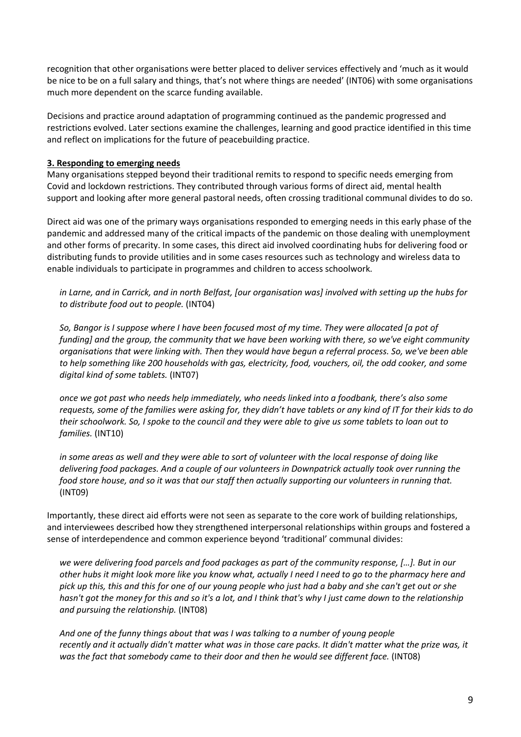recognition that other organisations were better placed to deliver services effectively and 'much as it would be nice to be on a full salary and things, that's not where things are needed' (INT06) with some organisations much more dependent on the scarce funding available.

Decisions and practice around adaptation of programming continued as the pandemic progressed and restrictions evolved. Later sections examine the challenges, learning and good practice identified in this time and reflect on implications for the future of peacebuilding practice.

#### **3. Responding to emerging needs**

Many organisations stepped beyond their traditional remits to respond to specific needs emerging from Covid and lockdown restrictions. They contributed through various forms of direct aid, mental health support and looking after more general pastoral needs, often crossing traditional communal divides to do so.

Direct aid was one of the primary ways organisations responded to emerging needs in this early phase of the pandemic and addressed many of the critical impacts of the pandemic on those dealing with unemployment and other forms of precarity. In some cases, this direct aid involved coordinating hubs for delivering food or distributing funds to provide utilities and in some cases resources such as technology and wireless data to enable individuals to participate in programmes and children to access schoolwork.

*in Larne, and in Carrick, and in north Belfast, [our organisation was] involved with setting up the hubs for to distribute food out to people.* (INT04)

*So, Bangor is I suppose where I have been focused most of my time. They were allocated [a pot of funding] and the group, the community that we have been working with there, so we've eight community organisations that were linking with. Then they would have begun a referral process. So, we've been able to help something like 200 households with gas, electricity, food, vouchers, oil, the odd cooker, and some digital kind of some tablets.* (INT07)

*once we got past who needs help immediately, who needs linked into a foodbank, there's also some requests, some of the families were asking for, they didn't have tablets or any kind of IT for their kids to do their schoolwork. So, I spoke to the council and they were able to give us some tablets to loan out to families.* (INT10)

*in some areas as well and they were able to sort of volunteer with the local response of doing like delivering food packages. And a couple of our volunteers in Downpatrick actually took over running the food store house, and so it was that our staff then actually supporting our volunteers in running that.* (INT09)

Importantly, these direct aid efforts were not seen as separate to the core work of building relationships, and interviewees described how they strengthened interpersonal relationships within groups and fostered a sense of interdependence and common experience beyond 'traditional' communal divides:

*we were delivering food parcels and food packages as part of the community response, […]. But in our other hubs it might look more like you know what, actually I need I need to go to the pharmacy here and pick up this, this and this for one of our young people who just had a baby and she can't get out or she hasn't got the money for this and so it's a lot, and I think that's why I just came down to the relationship and pursuing the relationship.* (INT08)

*And one of the funny things about that was I was talking to a number of young people recently and it actually didn't matter what was in those care packs. It didn't matter what the prize was, it was the fact that somebody came to their door and then he would see different face.* (INT08)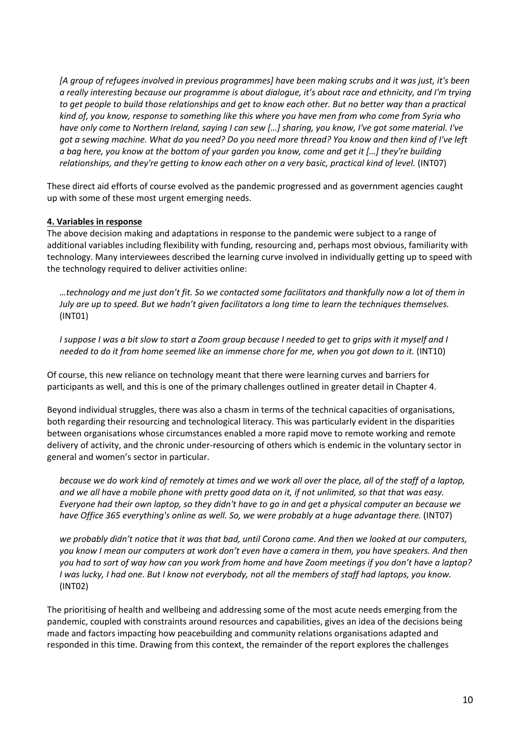*[A group of refugees involved in previous programmes] have been making scrubs and it was just, it's been a really interesting because our programme is about dialogue, it's about race and ethnicity, and I'm trying to get people to build those relationships and get to know each other. But no better way than a practical kind of, you know, response to something like this where you have men from who come from Syria who have only come to Northern Ireland, saying I can sew […] sharing, you know, I've got some material. I've got a sewing machine. What do you need? Do you need more thread? You know and then kind of I've left a bag here, you know at the bottom of your garden you know, come and get it […] they're building relationships, and they're getting to know each other on a very basic, practical kind of level.* (INT07)

These direct aid efforts of course evolved as the pandemic progressed and as government agencies caught up with some of these most urgent emerging needs.

#### **4. Variables in response**

The above decision making and adaptations in response to the pandemic were subject to a range of additional variables including flexibility with funding, resourcing and, perhaps most obvious, familiarity with technology. Many interviewees described the learning curve involved in individually getting up to speed with the technology required to deliver activities online:

*…technology and me just don't fit. So we contacted some facilitators and thankfully now a lot of them in July are up to speed. But we hadn't given facilitators a long time to learn the techniques themselves.* (INT01)

*I suppose I was a bit slow to start a Zoom group because I needed to get to grips with it myself and I needed to do it from home seemed like an immense chore for me, when you got down to it.* (INT10)

Of course, this new reliance on technology meant that there were learning curves and barriers for participants as well, and this is one of the primary challenges outlined in greater detail in Chapter 4.

Beyond individual struggles, there was also a chasm in terms of the technical capacities of organisations, both regarding their resourcing and technological literacy. This was particularly evident in the disparities between organisations whose circumstances enabled a more rapid move to remote working and remote delivery of activity, and the chronic under-resourcing of others which is endemic in the voluntary sector in general and women's sector in particular.

*because we do work kind of remotely at times and we work all over the place, all of the staff of a laptop, and we all have a mobile phone with pretty good data on it, if not unlimited, so that that was easy. Everyone had their own laptop, so they didn't have to go in and get a physical computer an because we have Office 365 everything's online as well. So, we were probably at a huge advantage there.* (INT07)

*we probably didn't notice that it was that bad, until Corona came. And then we looked at our computers, you know I mean our computers at work don't even have a camera in them, you have speakers. And then you had to sort of way how can you work from home and have Zoom meetings if you don't have a laptop? I was lucky, I had one. But I know not everybody, not all the members of staff had laptops, you know.* (INT02)

The prioritising of health and wellbeing and addressing some of the most acute needs emerging from the pandemic, coupled with constraints around resources and capabilities, gives an idea of the decisions being made and factors impacting how peacebuilding and community relations organisations adapted and responded in this time. Drawing from this context, the remainder of the report explores the challenges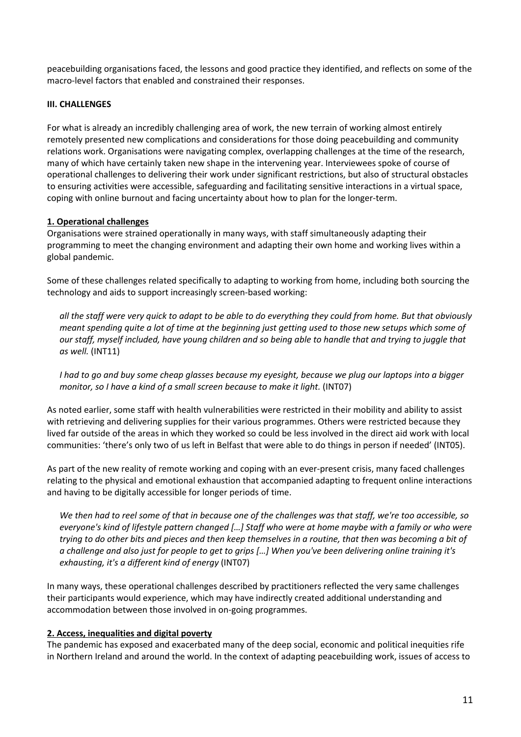peacebuilding organisations faced, the lessons and good practice they identified, and reflects on some of the macro-level factors that enabled and constrained their responses.

#### **III. CHALLENGES**

For what is already an incredibly challenging area of work, the new terrain of working almost entirely remotely presented new complications and considerations for those doing peacebuilding and community relations work. Organisations were navigating complex, overlapping challenges at the time of the research, many of which have certainly taken new shape in the intervening year. Interviewees spoke of course of operational challenges to delivering their work under significant restrictions, but also of structural obstacles to ensuring activities were accessible, safeguarding and facilitating sensitive interactions in a virtual space, coping with online burnout and facing uncertainty about how to plan for the longer-term.

#### **1. Operational challenges**

Organisations were strained operationally in many ways, with staff simultaneously adapting their programming to meet the changing environment and adapting their own home and working lives within a global pandemic.

Some of these challenges related specifically to adapting to working from home, including both sourcing the technology and aids to support increasingly screen-based working:

*all the staff were very quick to adapt to be able to do everything they could from home. But that obviously meant spending quite a lot of time at the beginning just getting used to those new setups which some of our staff, myself included, have young children and so being able to handle that and trying to juggle that as well.* (INT11)

*I had to go and buy some cheap glasses because my eyesight, because we plug our laptops into a bigger monitor, so I have a kind of a small screen because to make it light.* (INT07)

As noted earlier, some staff with health vulnerabilities were restricted in their mobility and ability to assist with retrieving and delivering supplies for their various programmes. Others were restricted because they lived far outside of the areas in which they worked so could be less involved in the direct aid work with local communities: 'there's only two of us left in Belfast that were able to do things in person if needed' (INT05).

As part of the new reality of remote working and coping with an ever-present crisis, many faced challenges relating to the physical and emotional exhaustion that accompanied adapting to frequent online interactions and having to be digitally accessible for longer periods of time.

*We then had to reel some of that in because one of the challenges was that staff, we're too accessible, so everyone's kind of lifestyle pattern changed […] Staff who were at home maybe with a family or who were trying to do other bits and pieces and then keep themselves in a routine, that then was becoming a bit of a challenge and also just for people to get to grips […] When you've been delivering online training it's exhausting, it's a different kind of energy* (INT07)

In many ways, these operational challenges described by practitioners reflected the very same challenges their participants would experience, which may have indirectly created additional understanding and accommodation between those involved in on-going programmes.

#### **2. Access, inequalities and digital poverty**

The pandemic has exposed and exacerbated many of the deep social, economic and political inequities rife in Northern Ireland and around the world. In the context of adapting peacebuilding work, issues of access to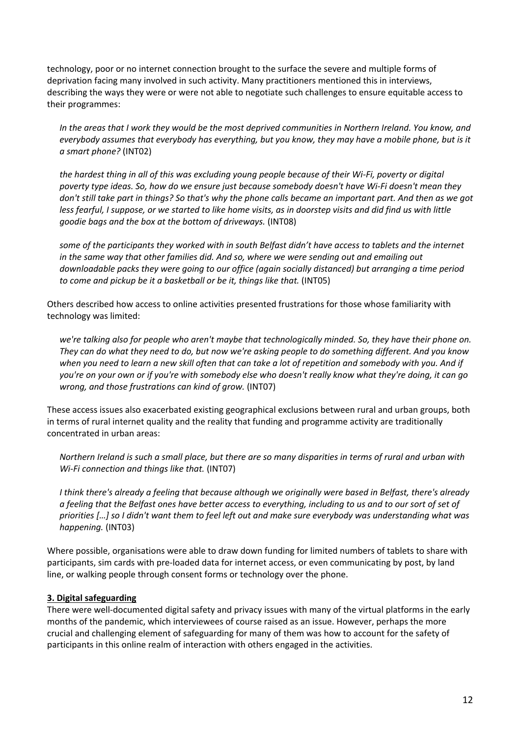technology, poor or no internet connection brought to the surface the severe and multiple forms of deprivation facing many involved in such activity. Many practitioners mentioned this in interviews, describing the ways they were or were not able to negotiate such challenges to ensure equitable access to their programmes:

*In the areas that I work they would be the most deprived communities in Northern Ireland. You know, and everybody assumes that everybody has everything, but you know, they may have a mobile phone, but is it a smart phone?* (INT02)

*the hardest thing in all of this was excluding young people because of their Wi-Fi, poverty or digital poverty type ideas. So, how do we ensure just because somebody doesn't have Wi-Fi doesn't mean they don't still take part in things? So that's why the phone calls became an important part. And then as we got less fearful, I suppose, or we started to like home visits, as in doorstep visits and did find us with little goodie bags and the box at the bottom of driveways.* (INT08)

*some of the participants they worked with in south Belfast didn't have access to tablets and the internet in the same way that other families did. And so, where we were sending out and emailing out downloadable packs they were going to our office (again socially distanced) but arranging a time period to come and pickup be it a basketball or be it, things like that.* (INT05)

Others described how access to online activities presented frustrations for those whose familiarity with technology was limited:

*we're talking also for people who aren't maybe that technologically minded. So, they have their phone on. They can do what they need to do, but now we're asking people to do something different. And you know when you need to learn a new skill often that can take a lot of repetition and somebody with you. And if you're on your own or if you're with somebody else who doesn't really know what they're doing, it can go wrong, and those frustrations can kind of grow.* (INT07)

These access issues also exacerbated existing geographical exclusions between rural and urban groups, both in terms of rural internet quality and the reality that funding and programme activity are traditionally concentrated in urban areas:

*Northern Ireland is such a small place, but there are so many disparities in terms of rural and urban with Wi-Fi connection and things like that.* (INT07)

*I think there's already a feeling that because although we originally were based in Belfast, there's already a feeling that the Belfast ones have better access to everything, including to us and to our sort of set of priorities […] so I didn't want them to feel left out and make sure everybody was understanding what was happening.* (INT03)

Where possible, organisations were able to draw down funding for limited numbers of tablets to share with participants, sim cards with pre-loaded data for internet access, or even communicating by post, by land line, or walking people through consent forms or technology over the phone.

### **3. Digital safeguarding**

There were well-documented digital safety and privacy issues with many of the virtual platforms in the early months of the pandemic, which interviewees of course raised as an issue. However, perhaps the more crucial and challenging element of safeguarding for many of them was how to account for the safety of participants in this online realm of interaction with others engaged in the activities.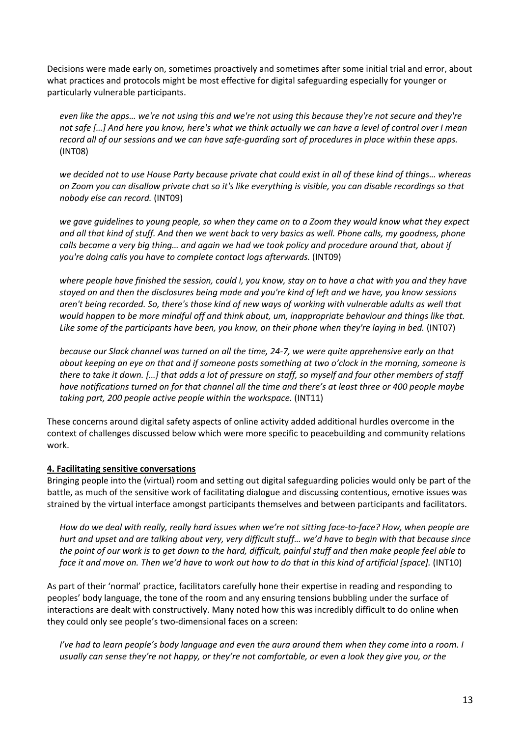Decisions were made early on, sometimes proactively and sometimes after some initial trial and error, about what practices and protocols might be most effective for digital safeguarding especially for younger or particularly vulnerable participants.

*even like the apps… we're not using this and we're not using this because they're not secure and they're not safe […] And here you know, here's what we think actually we can have a level of control over I mean record all of our sessions and we can have safe-guarding sort of procedures in place within these apps.* (INT08)

*we decided not to use House Party because private chat could exist in all of these kind of things… whereas on Zoom you can disallow private chat so it's like everything is visible, you can disable recordings so that nobody else can record.* (INT09)

*we gave guidelines to young people, so when they came on to a Zoom they would know what they expect and all that kind of stuff. And then we went back to very basics as well. Phone calls, my goodness, phone calls became a very big thing… and again we had we took policy and procedure around that, about if you're doing calls you have to complete contact logs afterwards.* (INT09)

*where people have finished the session, could I, you know, stay on to have a chat with you and they have stayed on and then the disclosures being made and you're kind of left and we have, you know sessions aren't being recorded. So, there's those kind of new ways of working with vulnerable adults as well that would happen to be more mindful off and think about, um, inappropriate behaviour and things like that. Like some of the participants have been, you know, on their phone when they're laying in bed.* (INT07)

*because our Slack channel was turned on all the time, 24-7, we were quite apprehensive early on that about keeping an eye on that and if someone posts something at two o'clock in the morning, someone is there to take it down. […] that adds a lot of pressure on staff, so myself and four other members of staff have notifications turned on for that channel all the time and there's at least three or 400 people maybe taking part, 200 people active people within the workspace.* (INT11)

These concerns around digital safety aspects of online activity added additional hurdles overcome in the context of challenges discussed below which were more specific to peacebuilding and community relations work.

### **4. Facilitating sensitive conversations**

Bringing people into the (virtual) room and setting out digital safeguarding policies would only be part of the battle, as much of the sensitive work of facilitating dialogue and discussing contentious, emotive issues was strained by the virtual interface amongst participants themselves and between participants and facilitators.

*How do we deal with really, really hard issues when we're not sitting face-to-face? How, when people are hurt and upset and are talking about very, very difficult stuff… we'd have to begin with that because since the point of our work is to get down to the hard, difficult, painful stuff and then make people feel able to face it and move on. Then we'd have to work out how to do that in this kind of artificial [space].* (INT10)

As part of their 'normal' practice, facilitators carefully hone their expertise in reading and responding to peoples' body language, the tone of the room and any ensuring tensions bubbling under the surface of interactions are dealt with constructively. Many noted how this was incredibly difficult to do online when they could only see people's two-dimensional faces on a screen:

*I've had to learn people's body language and even the aura around them when they come into a room. I usually can sense they're not happy, or they're not comfortable, or even a look they give you, or the*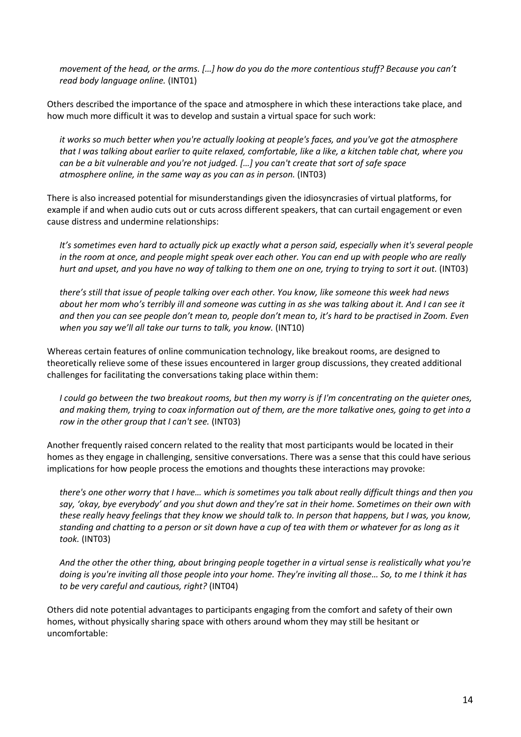*movement of the head, or the arms. […] how do you do the more contentious stuff? Because you can't read body language online.* (INT01)

Others described the importance of the space and atmosphere in which these interactions take place, and how much more difficult it was to develop and sustain a virtual space for such work:

*it works so much better when you're actually looking at people's faces, and you've got the atmosphere that I was talking about earlier to quite relaxed, comfortable, like a like, a kitchen table chat, where you can be a bit vulnerable and you're not judged. […] you can't create that sort of safe space atmosphere online, in the same way as you can as in person.* (INT03)

There is also increased potential for misunderstandings given the idiosyncrasies of virtual platforms, for example if and when audio cuts out or cuts across different speakers, that can curtail engagement or even cause distress and undermine relationships:

*It's sometimes even hard to actually pick up exactly what a person said, especially when it's several people in the room at once, and people might speak over each other. You can end up with people who are really hurt and upset, and you have no way of talking to them one on one, trying to trying to sort it out.* (INT03)

*there's still that issue of people talking over each other. You know, like someone this week had news about her mom who's terribly ill and someone was cutting in as she was talking about it. And I can see it and then you can see people don't mean to, people don't mean to, it's hard to be practised in Zoom. Even when you say we'll all take our turns to talk, you know.* (INT10)

Whereas certain features of online communication technology, like breakout rooms, are designed to theoretically relieve some of these issues encountered in larger group discussions, they created additional challenges for facilitating the conversations taking place within them:

*I could go between the two breakout rooms, but then my worry is if I'm concentrating on the quieter ones, and making them, trying to coax information out of them, are the more talkative ones, going to get into a row in the other group that I can't see.* (INT03)

Another frequently raised concern related to the reality that most participants would be located in their homes as they engage in challenging, sensitive conversations. There was a sense that this could have serious implications for how people process the emotions and thoughts these interactions may provoke:

*there's one other worry that I have… which is sometimes you talk about really difficult things and then you say, 'okay, bye everybody' and you shut down and they're sat in their home. Sometimes on their own with these really heavy feelings that they know we should talk to. In person that happens, but I was, you know, standing and chatting to a person or sit down have a cup of tea with them or whatever for as long as it took.* (INT03)

*And the other the other thing, about bringing people together in a virtual sense is realistically what you're doing is you're inviting all those people into your home. They're inviting all those… So, to me I think it has to be very careful and cautious, right?* (INT04)

Others did note potential advantages to participants engaging from the comfort and safety of their own homes, without physically sharing space with others around whom they may still be hesitant or uncomfortable: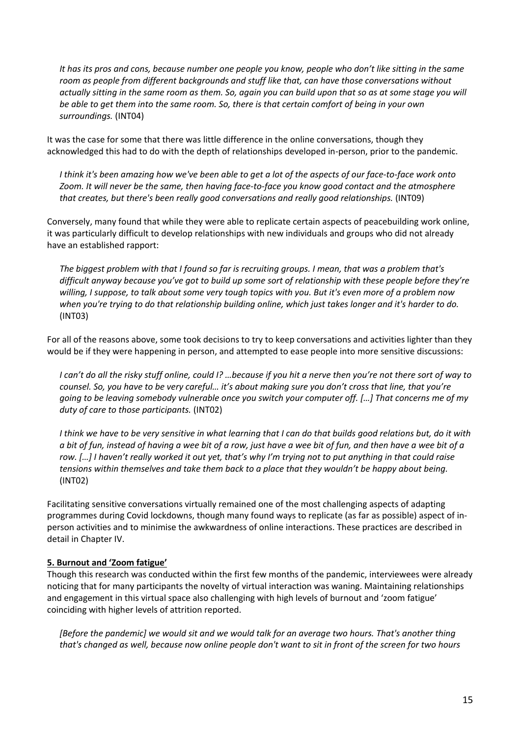*It has its pros and cons, because number one people you know, people who don't like sitting in the same room as people from different backgrounds and stuff like that, can have those conversations without actually sitting in the same room as them. So, again you can build upon that so as at some stage you will be able to get them into the same room. So, there is that certain comfort of being in your own surroundings.* (INT04)

It was the case for some that there was little difference in the online conversations, though they acknowledged this had to do with the depth of relationships developed in-person, prior to the pandemic.

*I think it's been amazing how we've been able to get a lot of the aspects of our face-to-face work onto Zoom. It will never be the same, then having face-to-face you know good contact and the atmosphere that creates, but there's been really good conversations and really good relationships.* (INT09)

Conversely, many found that while they were able to replicate certain aspects of peacebuilding work online, it was particularly difficult to develop relationships with new individuals and groups who did not already have an established rapport:

*The biggest problem with that I found so far is recruiting groups. I mean, that was a problem that's difficult anyway because you've got to build up some sort of relationship with these people before they're willing, I suppose, to talk about some very tough topics with you. But it's even more of a problem now when you're trying to do that relationship building online, which just takes longer and it's harder to do.* (INT03)

For all of the reasons above, some took decisions to try to keep conversations and activities lighter than they would be if they were happening in person, and attempted to ease people into more sensitive discussions:

*I can't do all the risky stuff online, could I? …because if you hit a nerve then you're not there sort of way to counsel. So, you have to be very careful… it's about making sure you don't cross that line, that you're going to be leaving somebody vulnerable once you switch your computer off. […] That concerns me of my duty of care to those participants.* (INT02)

*I think we have to be very sensitive in what learning that I can do that builds good relations but, do it with a bit of fun, instead of having a wee bit of a row, just have a wee bit of fun, and then have a wee bit of a row. […] I haven't really worked it out yet, that's why I'm trying not to put anything in that could raise tensions within themselves and take them back to a place that they wouldn't be happy about being.* (INT02)

Facilitating sensitive conversations virtually remained one of the most challenging aspects of adapting programmes during Covid lockdowns, though many found ways to replicate (as far as possible) aspect of inperson activities and to minimise the awkwardness of online interactions. These practices are described in detail in Chapter IV.

### **5. Burnout and 'Zoom fatigue'**

Though this research was conducted within the first few months of the pandemic, interviewees were already noticing that for many participants the novelty of virtual interaction was waning. Maintaining relationships and engagement in this virtual space also challenging with high levels of burnout and 'zoom fatigue' coinciding with higher levels of attrition reported.

*[Before the pandemic] we would sit and we would talk for an average two hours. That's another thing that's changed as well, because now online people don't want to sit in front of the screen for two hours*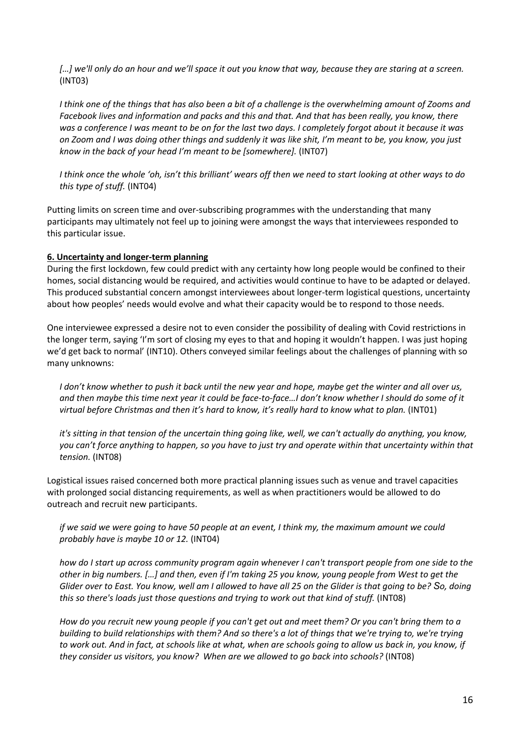*[…] we'll only do an hour and we'll space it out you know that way, because they are staring at a screen.* (INT03)

*I think one of the things that has also been a bit of a challenge is the overwhelming amount of Zooms and Facebook lives and information and packs and this and that. And that has been really, you know, there was a conference I was meant to be on for the last two days. I completely forgot about it because it was on Zoom and I was doing other things and suddenly it was like shit, I'm meant to be, you know, you just know in the back of your head I'm meant to be [somewhere].* (INT07)

*I think once the whole 'oh, isn't this brilliant' wears off then we need to start looking at other ways to do this type of stuff.* (INT04)

Putting limits on screen time and over-subscribing programmes with the understanding that many participants may ultimately not feel up to joining were amongst the ways that interviewees responded to this particular issue.

#### **6. Uncertainty and longer-term planning**

During the first lockdown, few could predict with any certainty how long people would be confined to their homes, social distancing would be required, and activities would continue to have to be adapted or delayed. This produced substantial concern amongst interviewees about longer-term logistical questions, uncertainty about how peoples' needs would evolve and what their capacity would be to respond to those needs.

One interviewee expressed a desire not to even consider the possibility of dealing with Covid restrictions in the longer term, saying 'I'm sort of closing my eyes to that and hoping it wouldn't happen. I was just hoping we'd get back to normal' (INT10). Others conveyed similar feelings about the challenges of planning with so many unknowns:

*I don't know whether to push it back until the new year and hope, maybe get the winter and all over us, and then maybe this time next year it could be face-to-face…I don't know whether I should do some of it virtual before Christmas and then it's hard to know, it's really hard to know what to plan.* (INT01)

*it's sitting in that tension of the uncertain thing going like, well, we can't actually do anything, you know, you can't force anything to happen, so you have to just try and operate within that uncertainty within that tension.* (INT08)

Logistical issues raised concerned both more practical planning issues such as venue and travel capacities with prolonged social distancing requirements, as well as when practitioners would be allowed to do outreach and recruit new participants.

*if we said we were going to have 50 people at an event, I think my, the maximum amount we could probably have is maybe 10 or 12.* (INT04)

*how do I start up across community program again whenever I can't transport people from one side to the other in big numbers. […] and then, even if I'm taking 25 you know, young people from West to get the Glider over to East. You know, well am I allowed to have all 25 on the Glider is that going to be? So, doing this so there's loads just those questions and trying to work out that kind of stuff.* (INT08)

*How do you recruit new young people if you can't get out and meet them? Or you can't bring them to a building to build relationships with them? And so there's a lot of things that we're trying to, we're trying to work out. And in fact, at schools like at what, when are schools going to allow us back in, you know, if they consider us visitors, you know? When are we allowed to go back into schools?* (INT08)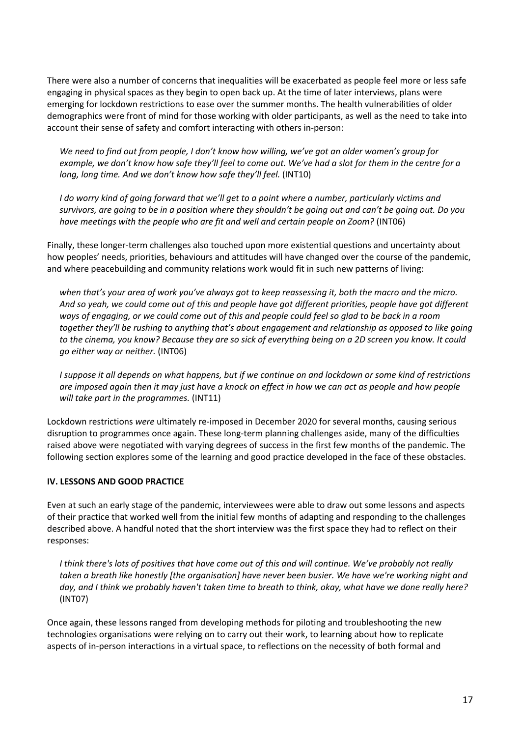There were also a number of concerns that inequalities will be exacerbated as people feel more or less safe engaging in physical spaces as they begin to open back up. At the time of later interviews, plans were emerging for lockdown restrictions to ease over the summer months. The health vulnerabilities of older demographics were front of mind for those working with older participants, as well as the need to take into account their sense of safety and comfort interacting with others in-person:

*We need to find out from people, I don't know how willing, we've got an older women's group for example, we don't know how safe they'll feel to come out. We've had a slot for them in the centre for a long, long time. And we don't know how safe they'll feel.* (INT10)

*I do worry kind of going forward that we'll get to a point where a number, particularly victims and survivors, are going to be in a position where they shouldn't be going out and can't be going out. Do you have meetings with the people who are fit and well and certain people on Zoom?* (INT06)

Finally, these longer-term challenges also touched upon more existential questions and uncertainty about how peoples' needs, priorities, behaviours and attitudes will have changed over the course of the pandemic, and where peacebuilding and community relations work would fit in such new patterns of living:

*when that's your area of work you've always got to keep reassessing it, both the macro and the micro. And so yeah, we could come out of this and people have got different priorities, people have got different ways of engaging, or we could come out of this and people could feel so glad to be back in a room together they'll be rushing to anything that's about engagement and relationship as opposed to like going to the cinema, you know? Because they are so sick of everything being on a 2D screen you know. It could go either way or neither.* (INT06)

*I suppose it all depends on what happens, but if we continue on and lockdown or some kind of restrictions are imposed again then it may just have a knock on effect in how we can act as people and how people will take part in the programmes.* (INT11)

Lockdown restrictions *were* ultimately re-imposed in December 2020 for several months, causing serious disruption to programmes once again. These long-term planning challenges aside, many of the difficulties raised above were negotiated with varying degrees of success in the first few months of the pandemic. The following section explores some of the learning and good practice developed in the face of these obstacles.

### **IV. LESSONS AND GOOD PRACTICE**

Even at such an early stage of the pandemic, interviewees were able to draw out some lessons and aspects of their practice that worked well from the initial few months of adapting and responding to the challenges described above. A handful noted that the short interview was the first space they had to reflect on their responses:

*I think there's lots of positives that have come out of this and will continue. We've probably not really taken a breath like honestly [the organisation] have never been busier. We have we're working night and day, and I think we probably haven't taken time to breath to think, okay, what have we done really here?* (INT07)

Once again, these lessons ranged from developing methods for piloting and troubleshooting the new technologies organisations were relying on to carry out their work, to learning about how to replicate aspects of in-person interactions in a virtual space, to reflections on the necessity of both formal and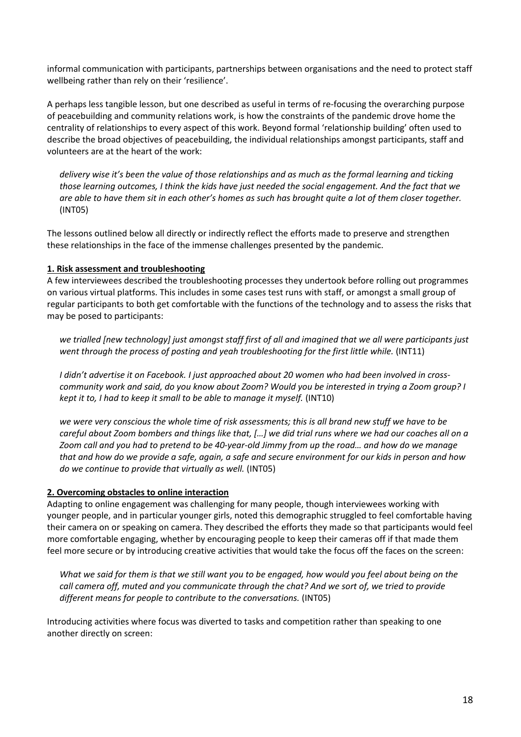informal communication with participants, partnerships between organisations and the need to protect staff wellbeing rather than rely on their 'resilience'.

A perhaps less tangible lesson, but one described as useful in terms of re-focusing the overarching purpose of peacebuilding and community relations work, is how the constraints of the pandemic drove home the centrality of relationships to every aspect of this work. Beyond formal 'relationship building' often used to describe the broad objectives of peacebuilding, the individual relationships amongst participants, staff and volunteers are at the heart of the work:

*delivery wise it's been the value of those relationships and as much as the formal learning and ticking those learning outcomes, I think the kids have just needed the social engagement. And the fact that we are able to have them sit in each other's homes as such has brought quite a lot of them closer together.*  (INT05)

The lessons outlined below all directly or indirectly reflect the efforts made to preserve and strengthen these relationships in the face of the immense challenges presented by the pandemic.

#### **1. Risk assessment and troubleshooting**

A few interviewees described the troubleshooting processes they undertook before rolling out programmes on various virtual platforms. This includes in some cases test runs with staff, or amongst a small group of regular participants to both get comfortable with the functions of the technology and to assess the risks that may be posed to participants:

*we trialled [new technology] just amongst staff first of all and imagined that we all were participants just went through the process of posting and yeah troubleshooting for the first little while.* (INT11)

*I didn't advertise it on Facebook. I just approached about 20 women who had been involved in crosscommunity work and said, do you know about Zoom? Would you be interested in trying a Zoom group? I kept it to, I had to keep it small to be able to manage it myself.* (INT10)

*we were very conscious the whole time of risk assessments; this is all brand new stuff we have to be careful about Zoom bombers and things like that, […] we did trial runs where we had our coaches all on a Zoom call and you had to pretend to be 40-year-old Jimmy from up the road… and how do we manage that and how do we provide a safe, again, a safe and secure environment for our kids in person and how do we continue to provide that virtually as well.* (INT05)

### **2. Overcoming obstacles to online interaction**

Adapting to online engagement was challenging for many people, though interviewees working with younger people, and in particular younger girls, noted this demographic struggled to feel comfortable having their camera on or speaking on camera. They described the efforts they made so that participants would feel more comfortable engaging, whether by encouraging people to keep their cameras off if that made them feel more secure or by introducing creative activities that would take the focus off the faces on the screen:

*What we said for them is that we still want you to be engaged, how would you feel about being on the call camera off, muted and you communicate through the chat? And we sort of, we tried to provide different means for people to contribute to the conversations.* (INT05)

Introducing activities where focus was diverted to tasks and competition rather than speaking to one another directly on screen: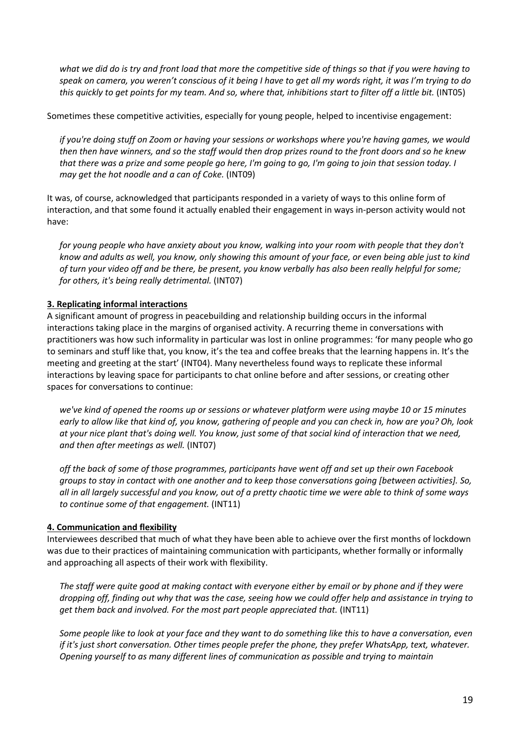*what we did do is try and front load that more the competitive side of things so that if you were having to speak on camera, you weren't conscious of it being I have to get all my words right, it was I'm trying to do this quickly to get points for my team. And so, where that, inhibitions start to filter off a little bit.* (INT05)

Sometimes these competitive activities, especially for young people, helped to incentivise engagement:

*if you're doing stuff on Zoom or having your sessions or workshops where you're having games, we would then then have winners, and so the staff would then drop prizes round to the front doors and so he knew that there was a prize and some people go here, I'm going to go, I'm going to join that session today. I may get the hot noodle and a can of Coke.* (INT09)

It was, of course, acknowledged that participants responded in a variety of ways to this online form of interaction, and that some found it actually enabled their engagement in ways in-person activity would not have:

*for young people who have anxiety about you know, walking into your room with people that they don't know and adults as well, you know, only showing this amount of your face, or even being able just to kind of turn your video off and be there, be present, you know verbally has also been really helpful for some; for others, it's being really detrimental.* (INT07)

### **3. Replicating informal interactions**

A significant amount of progress in peacebuilding and relationship building occurs in the informal interactions taking place in the margins of organised activity. A recurring theme in conversations with practitioners was how such informality in particular was lost in online programmes: 'for many people who go to seminars and stuff like that, you know, it's the tea and coffee breaks that the learning happens in. It's the meeting and greeting at the start' (INT04). Many nevertheless found ways to replicate these informal interactions by leaving space for participants to chat online before and after sessions, or creating other spaces for conversations to continue:

*we've kind of opened the rooms up or sessions or whatever platform were using maybe 10 or 15 minutes early to allow like that kind of, you know, gathering of people and you can check in, how are you? Oh, look at your nice plant that's doing well. You know, just some of that social kind of interaction that we need, and then after meetings as well.* (INT07)

*off the back of some of those programmes, participants have went off and set up their own Facebook groups to stay in contact with one another and to keep those conversations going [between activities]. So, all in all largely successful and you know, out of a pretty chaotic time we were able to think of some ways to continue some of that engagement.* (INT11)

#### **4. Communication and flexibility**

Interviewees described that much of what they have been able to achieve over the first months of lockdown was due to their practices of maintaining communication with participants, whether formally or informally and approaching all aspects of their work with flexibility.

*The staff were quite good at making contact with everyone either by email or by phone and if they were dropping off, finding out why that was the case, seeing how we could offer help and assistance in trying to get them back and involved. For the most part people appreciated that.* (INT11)

*Some people like to look at your face and they want to do something like this to have a conversation, even if it's just short conversation. Other times people prefer the phone, they prefer WhatsApp, text, whatever. Opening yourself to as many different lines of communication as possible and trying to maintain*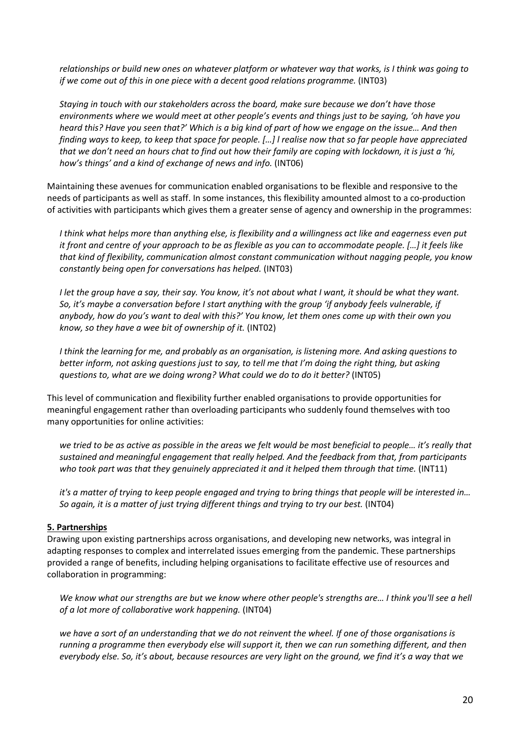*relationships or build new ones on whatever platform or whatever way that works, is I think was going to if we come out of this in one piece with a decent good relations programme.* (INT03)

*Staying in touch with our stakeholders across the board, make sure because we don't have those environments where we would meet at other people's events and things just to be saying, 'oh have you heard this? Have you seen that?' Which is a big kind of part of how we engage on the issue… And then finding ways to keep, to keep that space for people. […] l realise now that so far people have appreciated that we don't need an hours chat to find out how their family are coping with lockdown, it is just a 'hi, how's things' and a kind of exchange of news and info.* (INT06)

Maintaining these avenues for communication enabled organisations to be flexible and responsive to the needs of participants as well as staff. In some instances, this flexibility amounted almost to a co-production of activities with participants which gives them a greater sense of agency and ownership in the programmes:

*I think what helps more than anything else, is flexibility and a willingness act like and eagerness even put it front and centre of your approach to be as flexible as you can to accommodate people. […] it feels like that kind of flexibility, communication almost constant communication without nagging people, you know constantly being open for conversations has helped.* (INT03)

*I let the group have a say, their say. You know, it's not about what I want, it should be what they want. So, it's maybe a conversation before I start anything with the group 'if anybody feels vulnerable, if anybody, how do you's want to deal with this?' You know, let them ones come up with their own you know, so they have a wee bit of ownership of it.* (INT02)

*I think the learning for me, and probably as an organisation, is listening more. And asking questions to better inform, not asking questions just to say, to tell me that I'm doing the right thing, but asking questions to, what are we doing wrong? What could we do to do it better?* (INT05)

This level of communication and flexibility further enabled organisations to provide opportunities for meaningful engagement rather than overloading participants who suddenly found themselves with too many opportunities for online activities:

*we tried to be as active as possible in the areas we felt would be most beneficial to people… it's really that sustained and meaningful engagement that really helped. And the feedback from that, from participants who took part was that they genuinely appreciated it and it helped them through that time.* (INT11)

*it's a matter of trying to keep people engaged and trying to bring things that people will be interested in… So again, it is a matter of just trying different things and trying to try our best.* (INT04)

#### **5. Partnerships**

Drawing upon existing partnerships across organisations, and developing new networks, was integral in adapting responses to complex and interrelated issues emerging from the pandemic. These partnerships provided a range of benefits, including helping organisations to facilitate effective use of resources and collaboration in programming:

*We know what our strengths are but we know where other people's strengths are… I think you'll see a hell of a lot more of collaborative work happening.* (INT04)

*we have a sort of an understanding that we do not reinvent the wheel. If one of those organisations is running a programme then everybody else will support it, then we can run something different, and then everybody else. So, it's about, because resources are very light on the ground, we find it's a way that we*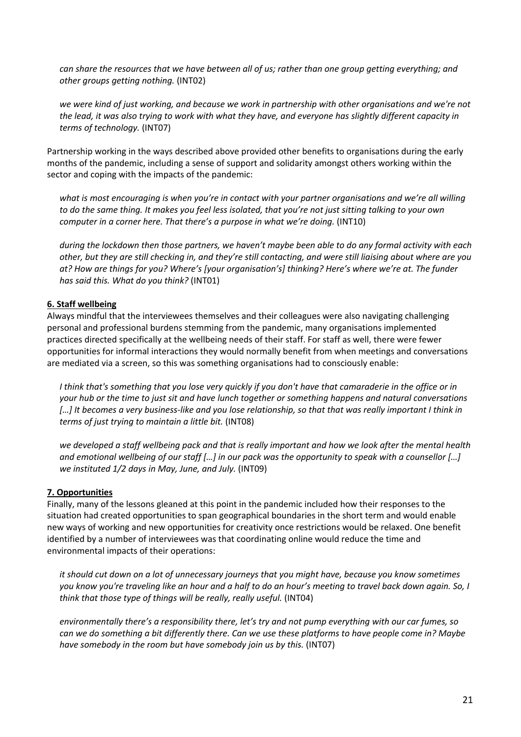*can share the resources that we have between all of us; rather than one group getting everything; and other groups getting nothing.* (INT02)

*we were kind of just working, and because we work in partnership with other organisations and we're not the lead, it was also trying to work with what they have, and everyone has slightly different capacity in terms of technology.* (INT07)

Partnership working in the ways described above provided other benefits to organisations during the early months of the pandemic, including a sense of support and solidarity amongst others working within the sector and coping with the impacts of the pandemic:

*what is most encouraging is when you're in contact with your partner organisations and we're all willing to do the same thing. It makes you feel less isolated, that you're not just sitting talking to your own computer in a corner here. That there's a purpose in what we're doing.* (INT10)

*during the lockdown then those partners, we haven't maybe been able to do any formal activity with each other, but they are still checking in, and they're still contacting, and were still liaising about where are you at? How are things for you? Where's [your organisation's] thinking? Here's where we're at. The funder has said this. What do you think?* (INT01)

#### **6. Staff wellbeing**

Always mindful that the interviewees themselves and their colleagues were also navigating challenging personal and professional burdens stemming from the pandemic, many organisations implemented practices directed specifically at the wellbeing needs of their staff. For staff as well, there were fewer opportunities for informal interactions they would normally benefit from when meetings and conversations are mediated via a screen, so this was something organisations had to consciously enable:

*I think that's something that you lose very quickly if you don't have that camaraderie in the office or in your hub or the time to just sit and have lunch together or something happens and natural conversations […] It becomes a very business-like and you lose relationship, so that that was really important I think in terms of just trying to maintain a little bit.* (INT08)

*we developed a staff wellbeing pack and that is really important and how we look after the mental health and emotional wellbeing of our staff […] in our pack was the opportunity to speak with a counsellor […] we instituted 1/2 days in May, June, and July.* (INT09)

### **7. Opportunities**

Finally, many of the lessons gleaned at this point in the pandemic included how their responses to the situation had created opportunities to span geographical boundaries in the short term and would enable new ways of working and new opportunities for creativity once restrictions would be relaxed. One benefit identified by a number of interviewees was that coordinating online would reduce the time and environmental impacts of their operations:

*it should cut down on a lot of unnecessary journeys that you might have, because you know sometimes you know you're traveling like an hour and a half to do an hour's meeting to travel back down again. So, I think that those type of things will be really, really useful.* (INT04)

*environmentally there's a responsibility there, let's try and not pump everything with our car fumes, so can we do something a bit differently there. Can we use these platforms to have people come in? Maybe have somebody in the room but have somebody join us by this.* (INT07)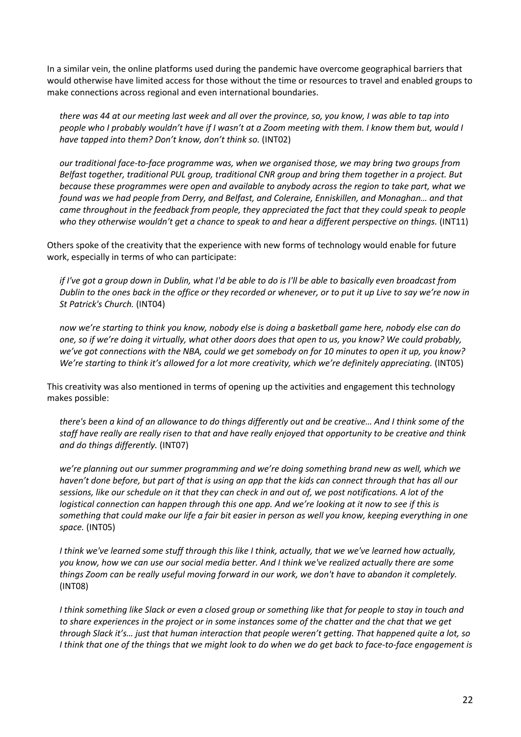In a similar vein, the online platforms used during the pandemic have overcome geographical barriers that would otherwise have limited access for those without the time or resources to travel and enabled groups to make connections across regional and even international boundaries.

*there was 44 at our meeting last week and all over the province, so, you know, I was able to tap into people who I probably wouldn't have if I wasn't at a Zoom meeting with them. I know them but, would I have tapped into them? Don't know, don't think so.* (INT02)

*our traditional face-to-face programme was, when we organised those, we may bring two groups from Belfast together, traditional PUL group, traditional CNR group and bring them together in a project. But because these programmes were open and available to anybody across the region to take part, what we found was we had people from Derry, and Belfast, and Coleraine, Enniskillen, and Monaghan… and that came throughout in the feedback from people, they appreciated the fact that they could speak to people who they otherwise wouldn't get a chance to speak to and hear a different perspective on things.* (INT11)

Others spoke of the creativity that the experience with new forms of technology would enable for future work, especially in terms of who can participate:

*if I've got a group down in Dublin, what I'd be able to do is I'll be able to basically even broadcast from Dublin to the ones back in the office or they recorded or whenever, or to put it up Live to say we're now in St Patrick's Church.* (INT04)

*now we're starting to think you know, nobody else is doing a basketball game here, nobody else can do one, so if we're doing it virtually, what other doors does that open to us, you know? We could probably, we've got connections with the NBA, could we get somebody on for 10 minutes to open it up, you know? We're starting to think it's allowed for a lot more creativity, which we're definitely appreciating.* (INT05)

This creativity was also mentioned in terms of opening up the activities and engagement this technology makes possible:

*there's been a kind of an allowance to do things differently out and be creative… And I think some of the staff have really are really risen to that and have really enjoyed that opportunity to be creative and think and do things differently.* (INT07)

*we're planning out our summer programming and we're doing something brand new as well, which we haven't done before, but part of that is using an app that the kids can connect through that has all our sessions, like our schedule on it that they can check in and out of, we post notifications. A lot of the logistical connection can happen through this one app. And we're looking at it now to see if this is something that could make our life a fair bit easier in person as well you know, keeping everything in one space.* (INT05)

*I think we've learned some stuff through this like I think, actually, that we we've learned how actually, you know, how we can use our social media better. And I think we've realized actually there are some things Zoom can be really useful moving forward in our work, we don't have to abandon it completely.*  (INT08)

*I think something like Slack or even a closed group or something like that for people to stay in touch and to share experiences in the project or in some instances some of the chatter and the chat that we get through Slack it's… just that human interaction that people weren't getting. That happened quite a lot, so I think that one of the things that we might look to do when we do get back to face-to-face engagement is*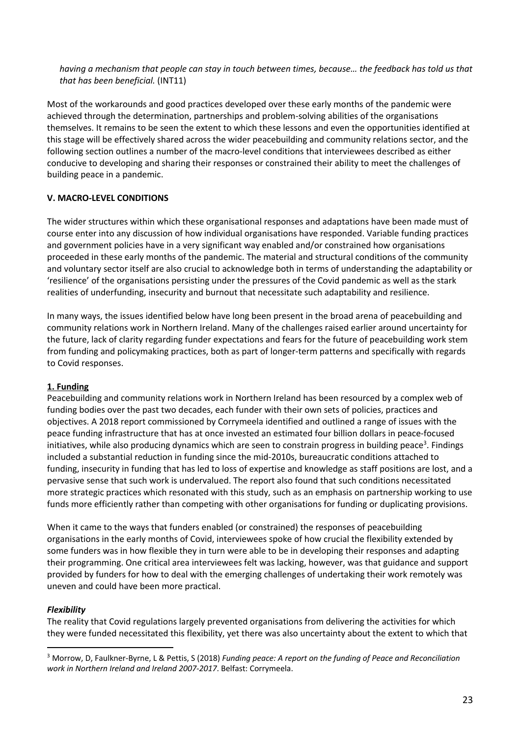*having a mechanism that people can stay in touch between times, because… the feedback has told us that that has been beneficial.* (INT11)

Most of the workarounds and good practices developed over these early months of the pandemic were achieved through the determination, partnerships and problem-solving abilities of the organisations themselves. It remains to be seen the extent to which these lessons and even the opportunities identified at this stage will be effectively shared across the wider peacebuilding and community relations sector, and the following section outlines a number of the macro-level conditions that interviewees described as either conducive to developing and sharing their responses or constrained their ability to meet the challenges of building peace in a pandemic.

### **V. MACRO-LEVEL CONDITIONS**

The wider structures within which these organisational responses and adaptations have been made must of course enter into any discussion of how individual organisations have responded. Variable funding practices and government policies have in a very significant way enabled and/or constrained how organisations proceeded in these early months of the pandemic. The material and structural conditions of the community and voluntary sector itself are also crucial to acknowledge both in terms of understanding the adaptability or 'resilience' of the organisations persisting under the pressures of the Covid pandemic as well as the stark realities of underfunding, insecurity and burnout that necessitate such adaptability and resilience.

In many ways, the issues identified below have long been present in the broad arena of peacebuilding and community relations work in Northern Ireland. Many of the challenges raised earlier around uncertainty for the future, lack of clarity regarding funder expectations and fears for the future of peacebuilding work stem from funding and policymaking practices, both as part of longer-term patterns and specifically with regards to Covid responses.

### **1. Funding**

Peacebuilding and community relations work in Northern Ireland has been resourced by a complex web of funding bodies over the past two decades, each funder with their own sets of policies, practices and objectives. A 2018 report commissioned by Corrymeela identified and outlined a range of issues with the peace funding infrastructure that has at once invested an estimated four billion dollars in peace-focused initiatives, while also producing dynamics which are seen to constrain progress in building peace<sup>3</sup>. Findings included a substantial reduction in funding since the mid-2010s, bureaucratic conditions attached to funding, insecurity in funding that has led to loss of expertise and knowledge as staff positions are lost, and a pervasive sense that such work is undervalued. The report also found that such conditions necessitated more strategic practices which resonated with this study, such as an emphasis on partnership working to use funds more efficiently rather than competing with other organisations for funding or duplicating provisions.

When it came to the ways that funders enabled (or constrained) the responses of peacebuilding organisations in the early months of Covid, interviewees spoke of how crucial the flexibility extended by some funders was in how flexible they in turn were able to be in developing their responses and adapting their programming. One critical area interviewees felt was lacking, however, was that guidance and support provided by funders for how to deal with the emerging challenges of undertaking their work remotely was uneven and could have been more practical.

### *Flexibility*

The reality that Covid regulations largely prevented organisations from delivering the activities for which they were funded necessitated this flexibility, yet there was also uncertainty about the extent to which that

<sup>3</sup> Morrow, D, Faulkner-Byrne, L & Pettis, S (2018) *Funding peace: A report on the funding of Peace and Reconciliation work in Northern Ireland and Ireland 2007-2017*. Belfast: Corrymeela.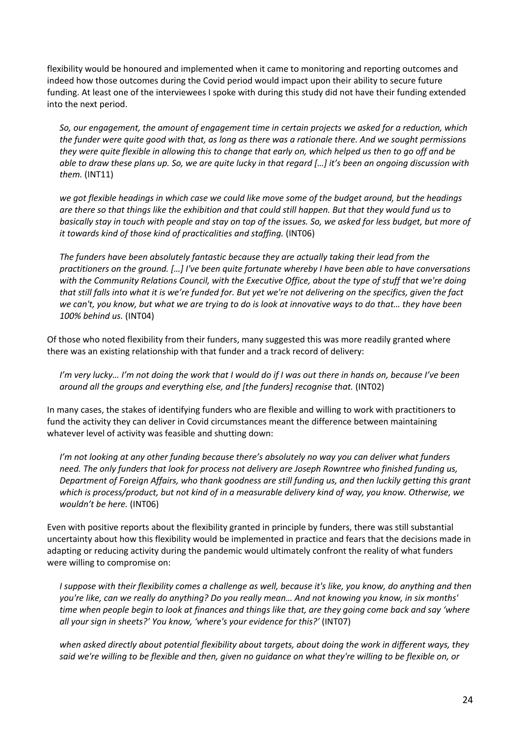flexibility would be honoured and implemented when it came to monitoring and reporting outcomes and indeed how those outcomes during the Covid period would impact upon their ability to secure future funding. At least one of the interviewees I spoke with during this study did not have their funding extended into the next period.

*So, our engagement, the amount of engagement time in certain projects we asked for a reduction, which the funder were quite good with that, as long as there was a rationale there. And we sought permissions they were quite flexible in allowing this to change that early on, which helped us then to go off and be able to draw these plans up. So, we are quite lucky in that regard […] it's been an ongoing discussion with them.* (INT11)

*we got flexible headings in which case we could like move some of the budget around, but the headings are there so that things like the exhibition and that could still happen. But that they would fund us to basically stay in touch with people and stay on top of the issues. So, we asked for less budget, but more of it towards kind of those kind of practicalities and staffing.* (INT06)

*The funders have been absolutely fantastic because they are actually taking their lead from the practitioners on the ground. […] I've been quite fortunate whereby I have been able to have conversations with the Community Relations Council, with the Executive Office, about the type of stuff that we're doing that still falls into what it is we're funded for. But yet we're not delivering on the specifics, given the fact we can't, you know, but what we are trying to do is look at innovative ways to do that… they have been 100% behind us.* (INT04)

Of those who noted flexibility from their funders, many suggested this was more readily granted where there was an existing relationship with that funder and a track record of delivery:

*I'm very lucky… I'm not doing the work that I would do if I was out there in hands on, because I've been around all the groups and everything else, and [the funders] recognise that.* (INT02)

In many cases, the stakes of identifying funders who are flexible and willing to work with practitioners to fund the activity they can deliver in Covid circumstances meant the difference between maintaining whatever level of activity was feasible and shutting down:

*I'm not looking at any other funding because there's absolutely no way you can deliver what funders need. The only funders that look for process not delivery are Joseph Rowntree who finished funding us, Department of Foreign Affairs, who thank goodness are still funding us, and then luckily getting this grant which is process/product, but not kind of in a measurable delivery kind of way, you know. Otherwise, we wouldn't be here.* (INT06)

Even with positive reports about the flexibility granted in principle by funders, there was still substantial uncertainty about how this flexibility would be implemented in practice and fears that the decisions made in adapting or reducing activity during the pandemic would ultimately confront the reality of what funders were willing to compromise on:

*I* suppose with their flexibility comes a challenge as well, because it's like, you know, do anything and then *you're like, can we really do anything? Do you really mean… And not knowing you know, in six months' time when people begin to look at finances and things like that, are they going come back and say 'where all your sign in sheets?' You know, 'where's your evidence for this?'* (INT07)

*when asked directly about potential flexibility about targets, about doing the work in different ways, they said we're willing to be flexible and then, given no guidance on what they're willing to be flexible on, or*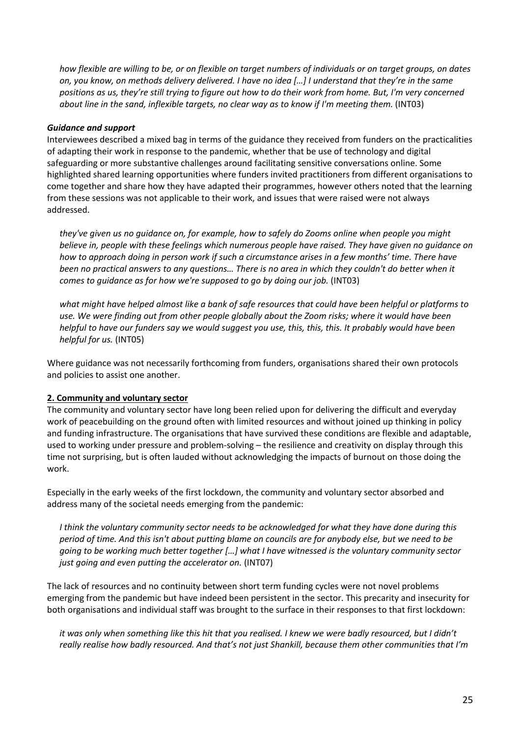*how flexible are willing to be, or on flexible on target numbers of individuals or on target groups, on dates on, you know, on methods delivery delivered. I have no idea […] I understand that they're in the same positions as us, they're still trying to figure out how to do their work from home. But, I'm very concerned about line in the sand, inflexible targets, no clear way as to know if I'm meeting them.* (INT03)

#### *Guidance and support*

Interviewees described a mixed bag in terms of the guidance they received from funders on the practicalities of adapting their work in response to the pandemic, whether that be use of technology and digital safeguarding or more substantive challenges around facilitating sensitive conversations online. Some highlighted shared learning opportunities where funders invited practitioners from different organisations to come together and share how they have adapted their programmes, however others noted that the learning from these sessions was not applicable to their work, and issues that were raised were not always addressed.

*they've given us no guidance on, for example, how to safely do Zooms online when people you might believe in, people with these feelings which numerous people have raised. They have given no guidance on how to approach doing in person work if such a circumstance arises in a few months' time. There have been no practical answers to any questions… There is no area in which they couldn't do better when it comes to guidance as for how we're supposed to go by doing our job.* (INT03)

*what might have helped almost like a bank of safe resources that could have been helpful or platforms to use. We were finding out from other people globally about the Zoom risks; where it would have been helpful to have our funders say we would suggest you use, this, this, this. It probably would have been helpful for us.* (INT05)

Where guidance was not necessarily forthcoming from funders, organisations shared their own protocols and policies to assist one another.

#### **2. Community and voluntary sector**

The community and voluntary sector have long been relied upon for delivering the difficult and everyday work of peacebuilding on the ground often with limited resources and without joined up thinking in policy and funding infrastructure. The organisations that have survived these conditions are flexible and adaptable, used to working under pressure and problem-solving – the resilience and creativity on display through this time not surprising, but is often lauded without acknowledging the impacts of burnout on those doing the work.

Especially in the early weeks of the first lockdown, the community and voluntary sector absorbed and address many of the societal needs emerging from the pandemic:

*I think the voluntary community sector needs to be acknowledged for what they have done during this period of time. And this isn't about putting blame on councils are for anybody else, but we need to be going to be working much better together […] what I have witnessed is the voluntary community sector just going and even putting the accelerator on.* (INT07)

The lack of resources and no continuity between short term funding cycles were not novel problems emerging from the pandemic but have indeed been persistent in the sector. This precarity and insecurity for both organisations and individual staff was brought to the surface in their responses to that first lockdown:

*it was only when something like this hit that you realised. I knew we were badly resourced, but I didn't really realise how badly resourced. And that's not just Shankill, because them other communities that I'm*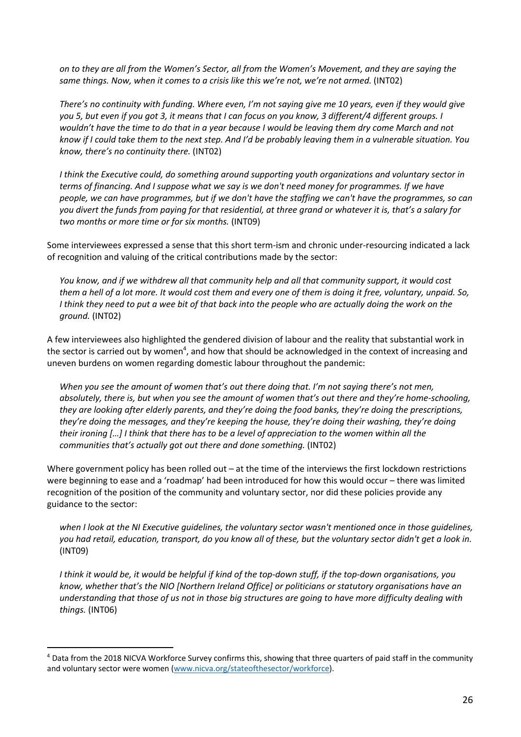*on to they are all from the Women's Sector, all from the Women's Movement, and they are saying the same things. Now, when it comes to a crisis like this we're not, we're not armed.* (INT02)

*There's no continuity with funding. Where even, I'm not saying give me 10 years, even if they would give you 5, but even if you got 3, it means that I can focus on you know, 3 different/4 different groups. I wouldn't have the time to do that in a year because I would be leaving them dry come March and not know if I could take them to the next step. And I'd be probably leaving them in a vulnerable situation. You know, there's no continuity there.* (INT02)

*I think the Executive could, do something around supporting youth organizations and voluntary sector in terms of financing. And I suppose what we say is we don't need money for programmes. If we have people, we can have programmes, but if we don't have the staffing we can't have the programmes, so can you divert the funds from paying for that residential, at three grand or whatever it is, that's a salary for two months or more time or for six months.* (INT09)

Some interviewees expressed a sense that this short term-ism and chronic under-resourcing indicated a lack of recognition and valuing of the critical contributions made by the sector:

*You know, and if we withdrew all that community help and all that community support, it would cost them a hell of a lot more. It would cost them and every one of them is doing it free, voluntary, unpaid. So, I think they need to put a wee bit of that back into the people who are actually doing the work on the ground.* (INT02)

A few interviewees also highlighted the gendered division of labour and the reality that substantial work in the sector is carried out by women<sup>4</sup>, and how that should be acknowledged in the context of increasing and uneven burdens on women regarding domestic labour throughout the pandemic:

*When you see the amount of women that's out there doing that. I'm not saying there's not men, absolutely, there is, but when you see the amount of women that's out there and they're home-schooling, they are looking after elderly parents, and they're doing the food banks, they're doing the prescriptions, they're doing the messages, and they're keeping the house, they're doing their washing, they're doing their ironing […] I think that there has to be a level of appreciation to the women within all the communities that's actually got out there and done something.* (INT02)

Where government policy has been rolled out – at the time of the interviews the first lockdown restrictions were beginning to ease and a 'roadmap' had been introduced for how this would occur – there was limited recognition of the position of the community and voluntary sector, nor did these policies provide any guidance to the sector:

*when I look at the NI Executive guidelines, the voluntary sector wasn't mentioned once in those guidelines, you had retail, education, transport, do you know all of these, but the voluntary sector didn't get a look in.* (INT09)

*I think it would be, it would be helpful if kind of the top-down stuff, if the top-down organisations, you know, whether that's the NIO [Northern Ireland Office] or politicians or statutory organisations have an understanding that those of us not in those big structures are going to have more difficulty dealing with things.* (INT06)

<sup>&</sup>lt;sup>4</sup> Data from the 2018 NICVA Workforce Survey confirms this, showing that three quarters of paid staff in the community and voluntary sector were women (www.nicva.org/stateofthesector/workforce).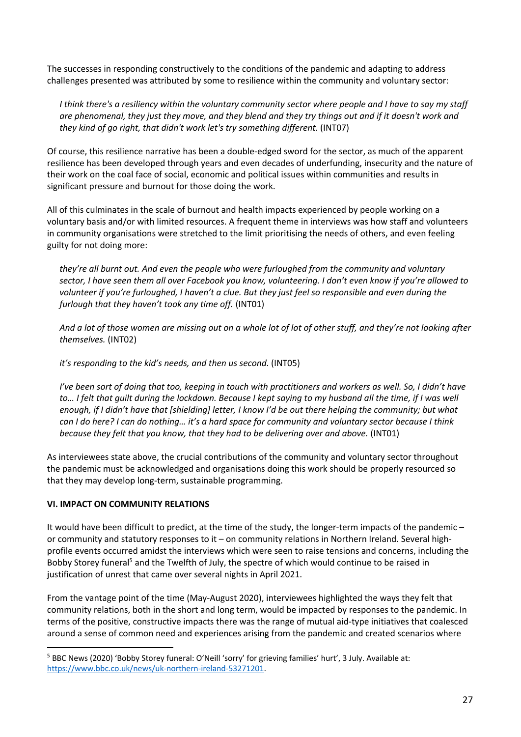The successes in responding constructively to the conditions of the pandemic and adapting to address challenges presented was attributed by some to resilience within the community and voluntary sector:

*I think there's a resiliency within the voluntary community sector where people and I have to say my staff are phenomenal, they just they move, and they blend and they try things out and if it doesn't work and they kind of go right, that didn't work let's try something different.* (INT07)

Of course, this resilience narrative has been a double-edged sword for the sector, as much of the apparent resilience has been developed through years and even decades of underfunding, insecurity and the nature of their work on the coal face of social, economic and political issues within communities and results in significant pressure and burnout for those doing the work.

All of this culminates in the scale of burnout and health impacts experienced by people working on a voluntary basis and/or with limited resources. A frequent theme in interviews was how staff and volunteers in community organisations were stretched to the limit prioritising the needs of others, and even feeling guilty for not doing more:

*they're all burnt out. And even the people who were furloughed from the community and voluntary sector, I have seen them all over Facebook you know, volunteering. I don't even know if you're allowed to volunteer if you're furloughed, I haven't a clue. But they just feel so responsible and even during the furlough that they haven't took any time off.* (INT01)

*And a lot of those women are missing out on a whole lot of lot of other stuff, and they're not looking after themselves.* (INT02)

*it's responding to the kid's needs, and then us second.* (INT05)

*I've been sort of doing that too, keeping in touch with practitioners and workers as well. So, I didn't have* to... I felt that quilt during the lockdown. Because I kept saying to my husband all the time, if I was well *enough, if I didn't have that [shielding] letter, I know I'd be out there helping the community; but what can I do here? I can do nothing… it's a hard space for community and voluntary sector because I think because they felt that you know, that they had to be delivering over and above.* (INT01)

As interviewees state above, the crucial contributions of the community and voluntary sector throughout the pandemic must be acknowledged and organisations doing this work should be properly resourced so that they may develop long-term, sustainable programming.

### **VI. IMPACT ON COMMUNITY RELATIONS**

It would have been difficult to predict, at the time of the study, the longer-term impacts of the pandemic – or community and statutory responses to it – on community relations in Northern Ireland. Several highprofile events occurred amidst the interviews which were seen to raise tensions and concerns, including the Bobby Storey funeral<sup>5</sup> and the Twelfth of July, the spectre of which would continue to be raised in justification of unrest that came over several nights in April 2021.

From the vantage point of the time (May-August 2020), interviewees highlighted the ways they felt that community relations, both in the short and long term, would be impacted by responses to the pandemic. In terms of the positive, constructive impacts there was the range of mutual aid-type initiatives that coalesced around a sense of common need and experiences arising from the pandemic and created scenarios where

<sup>5</sup> BBC News (2020) 'Bobby Storey funeral: O'Neill 'sorry' for grieving families' hurt', 3 July. Available at: https://www.bbc.co.uk/news/uk-northern-ireland-53271201.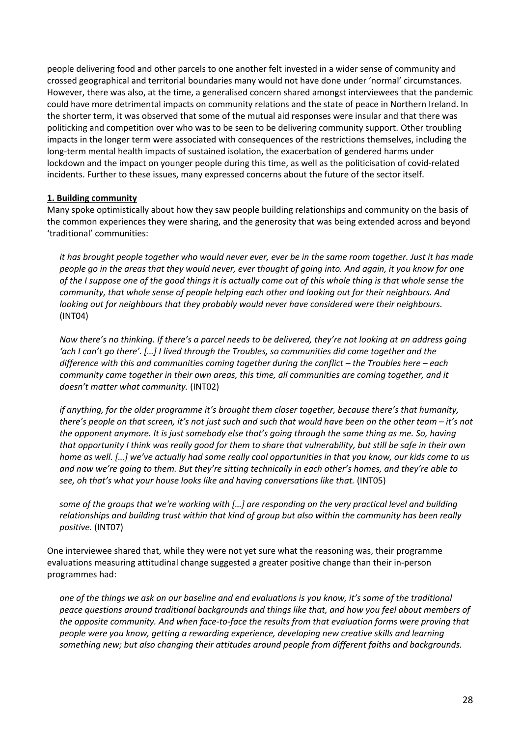people delivering food and other parcels to one another felt invested in a wider sense of community and crossed geographical and territorial boundaries many would not have done under 'normal' circumstances. However, there was also, at the time, a generalised concern shared amongst interviewees that the pandemic could have more detrimental impacts on community relations and the state of peace in Northern Ireland. In the shorter term, it was observed that some of the mutual aid responses were insular and that there was politicking and competition over who was to be seen to be delivering community support. Other troubling impacts in the longer term were associated with consequences of the restrictions themselves, including the long-term mental health impacts of sustained isolation, the exacerbation of gendered harms under lockdown and the impact on younger people during this time, as well as the politicisation of covid-related incidents. Further to these issues, many expressed concerns about the future of the sector itself.

#### **1. Building community**

Many spoke optimistically about how they saw people building relationships and community on the basis of the common experiences they were sharing, and the generosity that was being extended across and beyond 'traditional' communities:

*it has brought people together who would never ever, ever be in the same room together. Just it has made people go in the areas that they would never, ever thought of going into. And again, it you know for one of the I suppose one of the good things it is actually come out of this whole thing is that whole sense the community, that whole sense of people helping each other and looking out for their neighbours. And*  looking out for neighbours that they probably would never have considered were their neighbours. (INT04)

*Now there's no thinking. If there's a parcel needs to be delivered, they're not looking at an address going 'ach I can't go there'. […] I lived through the Troubles, so communities did come together and the difference with this and communities coming together during the conflict – the Troubles here – each community came together in their own areas, this time, all communities are coming together, and it doesn't matter what community.* (INT02)

*if anything, for the older programme it's brought them closer together, because there's that humanity, there's people on that screen, it's not just such and such that would have been on the other team – it's not the opponent anymore. It is just somebody else that's going through the same thing as me. So, having that opportunity I think was really good for them to share that vulnerability, but still be safe in their own home as well. […] we've actually had some really cool opportunities in that you know, our kids come to us and now we're going to them. But they're sitting technically in each other's homes, and they're able to see, oh that's what your house looks like and having conversations like that.* (INT05)

*some of the groups that we're working with […] are responding on the very practical level and building relationships and building trust within that kind of group but also within the community has been really positive.* (INT07)

One interviewee shared that, while they were not yet sure what the reasoning was, their programme evaluations measuring attitudinal change suggested a greater positive change than their in-person programmes had:

*one of the things we ask on our baseline and end evaluations is you know, it's some of the traditional peace questions around traditional backgrounds and things like that, and how you feel about members of the opposite community. And when face-to-face the results from that evaluation forms were proving that people were you know, getting a rewarding experience, developing new creative skills and learning something new; but also changing their attitudes around people from different faiths and backgrounds.*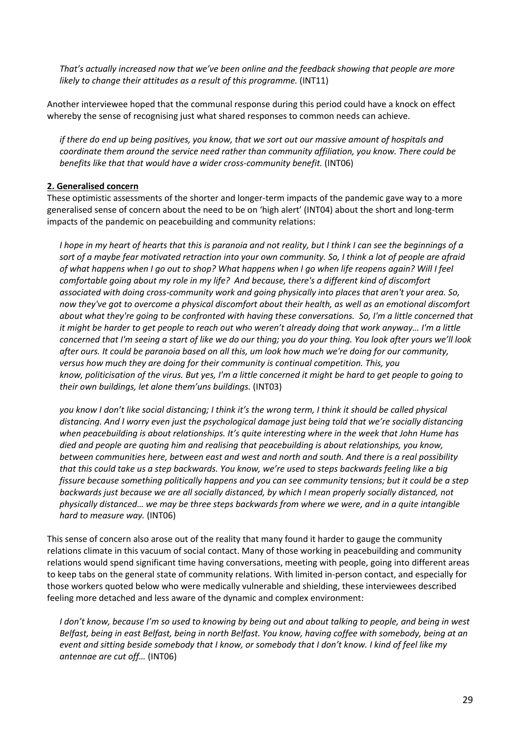*That's actually increased now that we've been online and the feedback showing that people are more likely to change their attitudes as a result of this programme.* (INT11)

Another interviewee hoped that the communal response during this period could have a knock on effect whereby the sense of recognising just what shared responses to common needs can achieve.

*if there do end up being positives, you know, that we sort out our massive amount of hospitals and coordinate them around the service need rather than community affiliation, you know. There could be benefits like that that would have a wider cross-community benefit.* (INT06)

#### **2. Generalised concern**

These optimistic assessments of the shorter and longer-term impacts of the pandemic gave way to a more generalised sense of concern about the need to be on 'high alert' (INT04) about the short and long-term impacts of the pandemic on peacebuilding and community relations:

*I hope in my heart of hearts that this is paranoia and not reality, but I think I can see the beginnings of a sort of a maybe fear motivated retraction into your own community. So, I think a lot of people are afraid of what happens when I go out to shop? What happens when I go when life reopens again? Will I feel comfortable going about my role in my life? And because, there's a different kind of discomfort associated with doing cross-community work and going physically into places that aren't your area. So, now they've got to overcome a physical discomfort about their health, as well as an emotional discomfort about what they're going to be confronted with having these conversations. So, I'm a little concerned that it might be harder to get people to reach out who weren't already doing that work anyway… I'm a little concerned that I'm seeing a start of like we do our thing; you do your thing. You look after yours we'll look after ours. It could be paranoia based on all this, um look how much we're doing for our community, versus how much they are doing for their community is continual competition. This, you know, politicisation of the virus. But yes, I'm a little concerned it might be hard to get people to going to their own buildings, let alone them'uns buildings.* (INT03)

*you know I don't like social distancing; I think it's the wrong term, I think it should be called physical distancing. And I worry even just the psychological damage just being told that we're socially distancing when peacebuilding is about relationships. It's quite interesting where in the week that John Hume has died and people are quoting him and realising that peacebuilding is about relationships, you know, between communities here, between east and west and north and south. And there is a real possibility that this could take us a step backwards. You know, we're used to steps backwards feeling like a big fissure because something politically happens and you can see community tensions; but it could be a step backwards just because we are all socially distanced, by which I mean properly socially distanced, not physically distanced… we may be three steps backwards from where we were, and in a quite intangible hard to measure way.* (INT06)

This sense of concern also arose out of the reality that many found it harder to gauge the community relations climate in this vacuum of social contact. Many of those working in peacebuilding and community relations would spend significant time having conversations, meeting with people, going into different areas to keep tabs on the general state of community relations. With limited in-person contact, and especially for those workers quoted below who were medically vulnerable and shielding, these interviewees described feeling more detached and less aware of the dynamic and complex environment:

*I don't know, because I'm so used to knowing by being out and about talking to people, and being in west Belfast, being in east Belfast, being in north Belfast. You know, having coffee with somebody, being at an event and sitting beside somebody that I know, or somebody that I don't know. I kind of feel like my antennae are cut off…* (INT06)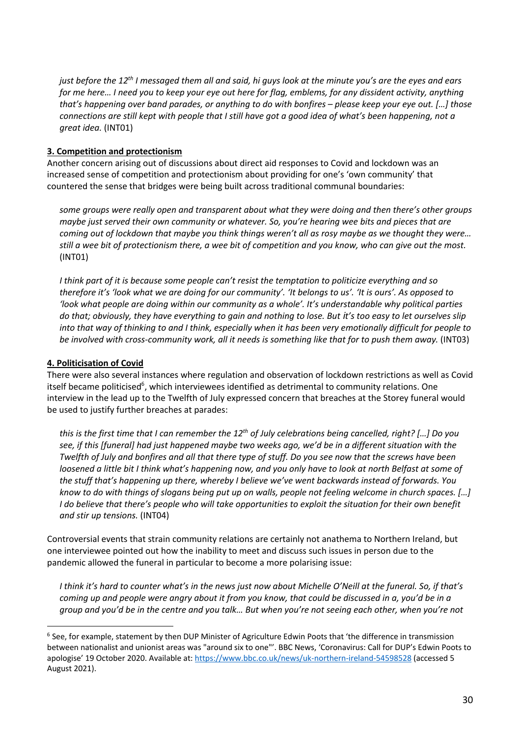*just before the 12th I messaged them all and said, hi guys look at the minute you's are the eyes and ears for me here… I need you to keep your eye out here for flag, emblems, for any dissident activity, anything that's happening over band parades, or anything to do with bonfires – please keep your eye out. […] those connections are still kept with people that I still have got a good idea of what's been happening, not a great idea.* (INT01)

# **3. Competition and protectionism**

Another concern arising out of discussions about direct aid responses to Covid and lockdown was an increased sense of competition and protectionism about providing for one's 'own community' that countered the sense that bridges were being built across traditional communal boundaries:

*some groups were really open and transparent about what they were doing and then there's other groups maybe just served their own community or whatever. So, you're hearing wee bits and pieces that are coming out of lockdown that maybe you think things weren't all as rosy maybe as we thought they were… still a wee bit of protectionism there, a wee bit of competition and you know, who can give out the most.*  (INT01)

*I think part of it is because some people can't resist the temptation to politicize everything and so therefore it's 'look what we are doing for our community'. 'It belongs to us'. 'It is ours'. As opposed to 'look what people are doing within our community as a whole'. It's understandable why political parties do that; obviously, they have everything to gain and nothing to lose. But it's too easy to let ourselves slip into that way of thinking to and I think, especially when it has been very emotionally difficult for people to be involved with cross-community work, all it needs is something like that for to push them away.* (INT03)

# **4. Politicisation of Covid**

There were also several instances where regulation and observation of lockdown restrictions as well as Covid itself became politicised<sup>6</sup>, which interviewees identified as detrimental to community relations. One interview in the lead up to the Twelfth of July expressed concern that breaches at the Storey funeral would be used to justify further breaches at parades:

*this is the first time that I can remember the 12th of July celebrations being cancelled, right? […] Do you see, if this [funeral] had just happened maybe two weeks ago, we'd be in a different situation with the Twelfth of July and bonfires and all that there type of stuff. Do you see now that the screws have been loosened a little bit I think what's happening now, and you only have to look at north Belfast at some of the stuff that's happening up there, whereby I believe we've went backwards instead of forwards. You know to do with things of slogans being put up on walls, people not feeling welcome in church spaces. […] I* do believe that there's people who will take opportunities to exploit the situation for their own benefit *and stir up tensions.* (INT04)

Controversial events that strain community relations are certainly not anathema to Northern Ireland, but one interviewee pointed out how the inability to meet and discuss such issues in person due to the pandemic allowed the funeral in particular to become a more polarising issue:

*I think it's hard to counter what's in the news just now about Michelle O'Neill at the funeral. So, if that's coming up and people were angry about it from you know, that could be discussed in a, you'd be in a group and you'd be in the centre and you talk… But when you're not seeing each other, when you're not* 

<sup>6</sup> See, for example, statement by then DUP Minister of Agriculture Edwin Poots that 'the difference in transmission between nationalist and unionist areas was "around six to one"'. BBC News, 'Coronavirus: Call for DUP's Edwin Poots to apologise' 19 October 2020. Available at: https://www.bbc.co.uk/news/uk-northern-ireland-54598528 (accessed 5 August 2021).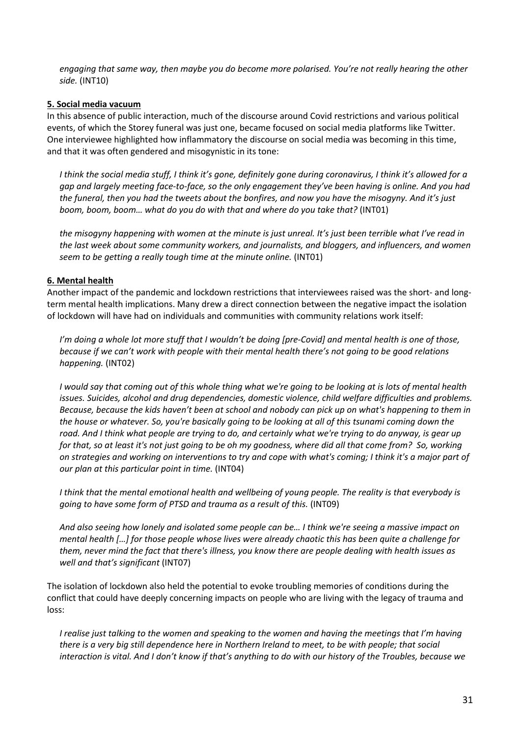*engaging that same way, then maybe you do become more polarised. You're not really hearing the other side.* (INT10)

#### **5. Social media vacuum**

In this absence of public interaction, much of the discourse around Covid restrictions and various political events, of which the Storey funeral was just one, became focused on social media platforms like Twitter. One interviewee highlighted how inflammatory the discourse on social media was becoming in this time, and that it was often gendered and misogynistic in its tone:

*I think the social media stuff, I think it's gone, definitely gone during coronavirus, I think it's allowed for a gap and largely meeting face-to-face, so the only engagement they've been having is online. And you had the funeral, then you had the tweets about the bonfires, and now you have the misogyny. And it's just boom, boom, boom… what do you do with that and where do you take that?* (INT01)

*the misogyny happening with women at the minute is just unreal. It's just been terrible what I've read in the last week about some community workers, and journalists, and bloggers, and influencers, and women seem to be getting a really tough time at the minute online.* (INT01)

#### **6. Mental health**

Another impact of the pandemic and lockdown restrictions that interviewees raised was the short- and longterm mental health implications. Many drew a direct connection between the negative impact the isolation of lockdown will have had on individuals and communities with community relations work itself:

*I'm doing a whole lot more stuff that I wouldn't be doing [pre-Covid] and mental health is one of those, because if we can't work with people with their mental health there's not going to be good relations happening.* (INT02)

*I would say that coming out of this whole thing what we're going to be looking at is lots of mental health issues. Suicides, alcohol and drug dependencies, domestic violence, child welfare difficulties and problems. Because, because the kids haven't been at school and nobody can pick up on what's happening to them in the house or whatever. So, you're basically going to be looking at all of this tsunami coming down the road. And I think what people are trying to do, and certainly what we're trying to do anyway, is gear up for that, so at least it's not just going to be oh my goodness, where did all that come from? So, working on strategies and working on interventions to try and cope with what's coming; I think it's a major part of our plan at this particular point in time.* (INT04)

*I think that the mental emotional health and wellbeing of young people. The reality is that everybody is going to have some form of PTSD and trauma as a result of this.* (INT09)

*And also seeing how lonely and isolated some people can be… I think we're seeing a massive impact on mental health […] for those people whose lives were already chaotic this has been quite a challenge for them, never mind the fact that there's illness, you know there are people dealing with health issues as well and that's significant* (INT07)

The isolation of lockdown also held the potential to evoke troubling memories of conditions during the conflict that could have deeply concerning impacts on people who are living with the legacy of trauma and loss:

*I realise just talking to the women and speaking to the women and having the meetings that I'm having there is a very big still dependence here in Northern Ireland to meet, to be with people; that social interaction is vital. And I don't know if that's anything to do with our history of the Troubles, because we*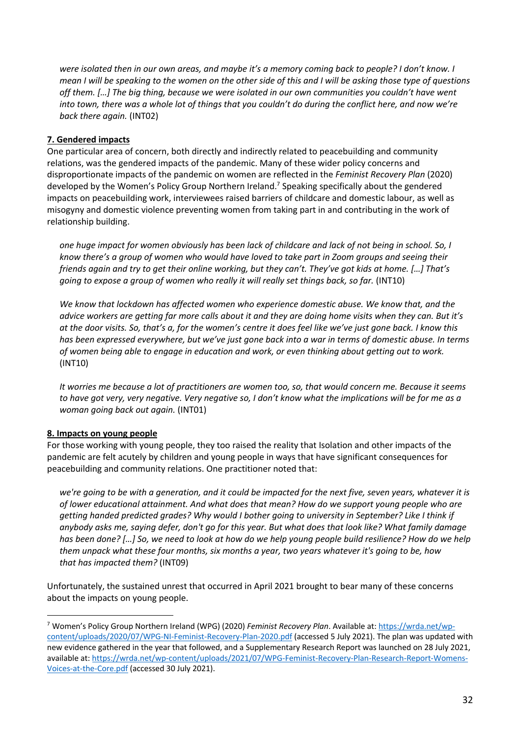*were isolated then in our own areas, and maybe it's a memory coming back to people? I don't know. I mean I will be speaking to the women on the other side of this and I will be asking those type of questions off them. […] The big thing, because we were isolated in our own communities you couldn't have went into town, there was a whole lot of things that you couldn't do during the conflict here, and now we're back there again.* (INT02)

# **7. Gendered impacts**

One particular area of concern, both directly and indirectly related to peacebuilding and community relations, was the gendered impacts of the pandemic. Many of these wider policy concerns and disproportionate impacts of the pandemic on women are reflected in the *Feminist Recovery Plan* (2020) developed by the Women's Policy Group Northern Ireland.<sup>7</sup> Speaking specifically about the gendered impacts on peacebuilding work, interviewees raised barriers of childcare and domestic labour, as well as misogyny and domestic violence preventing women from taking part in and contributing in the work of relationship building.

*one huge impact for women obviously has been lack of childcare and lack of not being in school. So, I know there's a group of women who would have loved to take part in Zoom groups and seeing their friends again and try to get their online working, but they can't. They've got kids at home. […] That's going to expose a group of women who really it will really set things back, so far.* (INT10)

*We know that lockdown has affected women who experience domestic abuse. We know that, and the advice workers are getting far more calls about it and they are doing home visits when they can. But it's at the door visits. So, that's a, for the women's centre it does feel like we've just gone back. I know this has been expressed everywhere, but we've just gone back into a war in terms of domestic abuse. In terms of women being able to engage in education and work, or even thinking about getting out to work.*  (INT10)

*It worries me because a lot of practitioners are women too, so, that would concern me. Because it seems to have got very, very negative. Very negative so, I don't know what the implications will be for me as a woman going back out again.* (INT01)

### **8. Impacts on young people**

For those working with young people, they too raised the reality that Isolation and other impacts of the pandemic are felt acutely by children and young people in ways that have significant consequences for peacebuilding and community relations. One practitioner noted that:

*we're going to be with a generation, and it could be impacted for the next five, seven years, whatever it is of lower educational attainment. And what does that mean? How do we support young people who are getting handed predicted grades? Why would I bother going to university in September? Like I think if anybody asks me, saying defer, don't go for this year. But what does that look like? What family damage has been done? […] So, we need to look at how do we help young people build resilience? How do we help them unpack what these four months, six months a year, two years whatever it's going to be, how that has impacted them?* (INT09)

Unfortunately, the sustained unrest that occurred in April 2021 brought to bear many of these concerns about the impacts on young people.

<sup>7</sup> Women's Policy Group Northern Ireland (WPG) (2020) *Feminist Recovery Plan*. Available at: https://wrda.net/wpcontent/uploads/2020/07/WPG-NI-Feminist-Recovery-Plan-2020.pdf (accessed 5 July 2021). The plan was updated with new evidence gathered in the year that followed, and a Supplementary Research Report was launched on 28 July 2021, available at: https://wrda.net/wp-content/uploads/2021/07/WPG-Feminist-Recovery-Plan-Research-Report-Womens-Voices-at-the-Core.pdf (accessed 30 July 2021).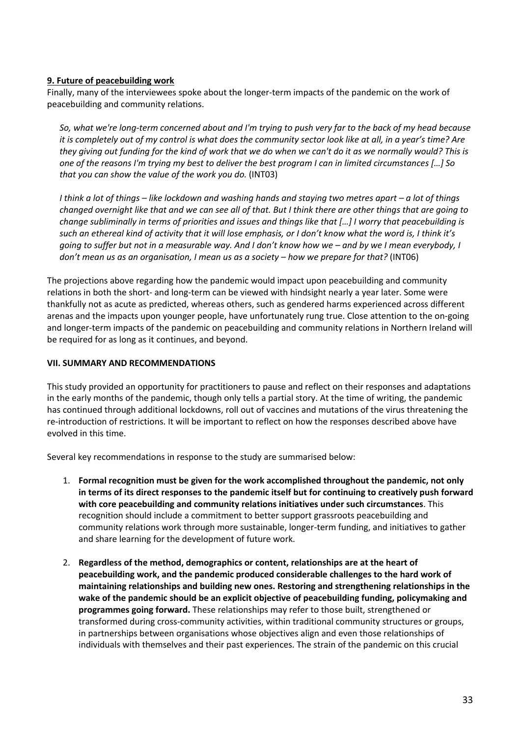#### **9. Future of peacebuilding work**

Finally, many of the interviewees spoke about the longer-term impacts of the pandemic on the work of peacebuilding and community relations.

*So, what we're long-term concerned about and I'm trying to push very far to the back of my head because it is completely out of my control is what does the community sector look like at all, in a year's time? Are they giving out funding for the kind of work that we do when we can't do it as we normally would? This is one of the reasons I'm trying my best to deliver the best program I can in limited circumstances […] So that you can show the value of the work you do.* (INT03)

*I think a lot of things – like lockdown and washing hands and staying two metres apart – a lot of things changed overnight like that and we can see all of that. But I think there are other things that are going to change subliminally in terms of priorities and issues and things like that […] I worry that peacebuilding is such an ethereal kind of activity that it will lose emphasis, or I don't know what the word is, I think it's going to suffer but not in a measurable way. And I don't know how we – and by we I mean everybody, I don't mean us as an organisation, I mean us as a society – how we prepare for that?* (INT06)

The projections above regarding how the pandemic would impact upon peacebuilding and community relations in both the short- and long-term can be viewed with hindsight nearly a year later. Some were thankfully not as acute as predicted, whereas others, such as gendered harms experienced across different arenas and the impacts upon younger people, have unfortunately rung true. Close attention to the on-going and longer-term impacts of the pandemic on peacebuilding and community relations in Northern Ireland will be required for as long as it continues, and beyond.

#### **VII. SUMMARY AND RECOMMENDATIONS**

This study provided an opportunity for practitioners to pause and reflect on their responses and adaptations in the early months of the pandemic, though only tells a partial story. At the time of writing, the pandemic has continued through additional lockdowns, roll out of vaccines and mutations of the virus threatening the re-introduction of restrictions. It will be important to reflect on how the responses described above have evolved in this time.

Several key recommendations in response to the study are summarised below:

- 1. **Formal recognition must be given for the work accomplished throughout the pandemic, not only in terms of its direct responses to the pandemic itself but for continuing to creatively push forward with core peacebuilding and community relations initiatives under such circumstances**. This recognition should include a commitment to better support grassroots peacebuilding and community relations work through more sustainable, longer-term funding, and initiatives to gather and share learning for the development of future work.
- 2. **Regardless of the method, demographics or content, relationships are at the heart of peacebuilding work, and the pandemic produced considerable challenges to the hard work of maintaining relationships and building new ones. Restoring and strengthening relationships in the wake of the pandemic should be an explicit objective of peacebuilding funding, policymaking and programmes going forward.** These relationships may refer to those built, strengthened or transformed during cross-community activities, within traditional community structures or groups, in partnerships between organisations whose objectives align and even those relationships of individuals with themselves and their past experiences. The strain of the pandemic on this crucial